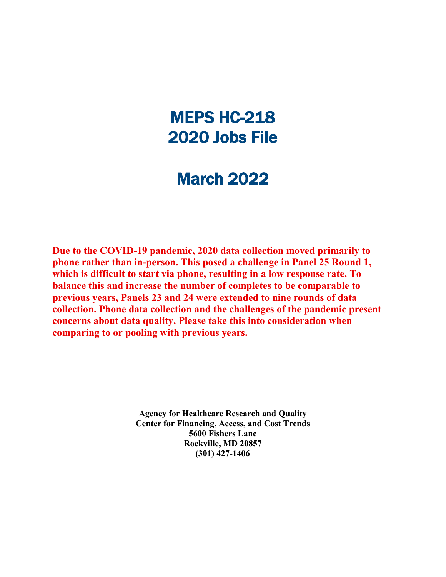# MEPS HC-218 2020 Jobs File

# March 2022

**Due to the COVID-19 pandemic, 2020 data collection moved primarily to phone rather than in-person. This posed a challenge in Panel 25 Round 1, which is difficult to start via phone, resulting in a low response rate. To balance this and increase the number of completes to be comparable to previous years, Panels 23 and 24 were extended to nine rounds of data collection. Phone data collection and the challenges of the pandemic present concerns about data quality. Please take this into consideration when comparing to or pooling with previous years.**

> **Agency for Healthcare Research and Quality Center for Financing, Access, and Cost Trends 5600 Fishers Lane Rockville, MD 20857 (301) 427-1406**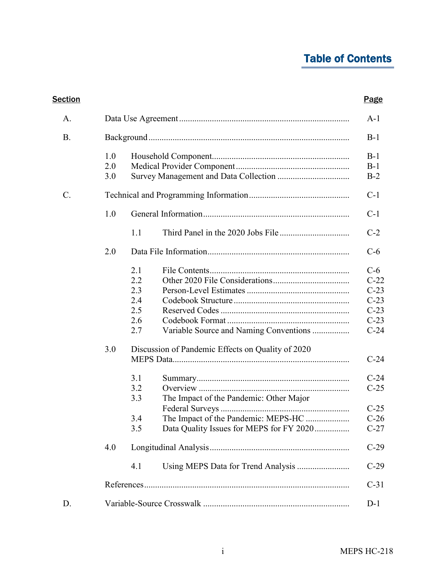# Table of Contents

| <b>Section</b> |                   |                                                      |                                                                                                                            | <b>Page</b>                                                                           |  |  |  |  |
|----------------|-------------------|------------------------------------------------------|----------------------------------------------------------------------------------------------------------------------------|---------------------------------------------------------------------------------------|--|--|--|--|
| A.             |                   |                                                      |                                                                                                                            | $A-1$                                                                                 |  |  |  |  |
| <b>B.</b>      |                   |                                                      |                                                                                                                            |                                                                                       |  |  |  |  |
|                | 1.0<br>2.0<br>3.0 |                                                      |                                                                                                                            | $B-1$<br>$B-1$<br>$B-2$                                                               |  |  |  |  |
| C.             |                   |                                                      |                                                                                                                            | $C-1$                                                                                 |  |  |  |  |
|                | 1.0               |                                                      |                                                                                                                            | $C-1$                                                                                 |  |  |  |  |
|                |                   | 1.1                                                  |                                                                                                                            | $C-2$                                                                                 |  |  |  |  |
|                | 2.0               |                                                      |                                                                                                                            | $C-6$                                                                                 |  |  |  |  |
|                | 3.0               | 2.1<br>2.2<br>2.3<br>2.4<br>2.5<br>2.6<br>2.7<br>3.1 | Variable Source and Naming Conventions<br>Discussion of Pandemic Effects on Quality of 2020                                | $C-6$<br>$C-22$<br>$C-23$<br>$C-23$<br>$C-23$<br>$C-23$<br>$C-24$<br>$C-24$<br>$C-24$ |  |  |  |  |
|                |                   | 3.2<br>3.3<br>3.4<br>3.5                             | The Impact of the Pandemic: Other Major<br>The Impact of the Pandemic: MEPS-HC<br>Data Quality Issues for MEPS for FY 2020 | $C-25$<br>$C-25$<br>$C-26$<br>$C-27$                                                  |  |  |  |  |
|                | 4.0               |                                                      |                                                                                                                            | $C-29$                                                                                |  |  |  |  |
|                |                   | 4.1                                                  |                                                                                                                            | $C-29$                                                                                |  |  |  |  |
|                |                   |                                                      |                                                                                                                            | $C-31$                                                                                |  |  |  |  |
| D.             |                   |                                                      |                                                                                                                            | $D-1$                                                                                 |  |  |  |  |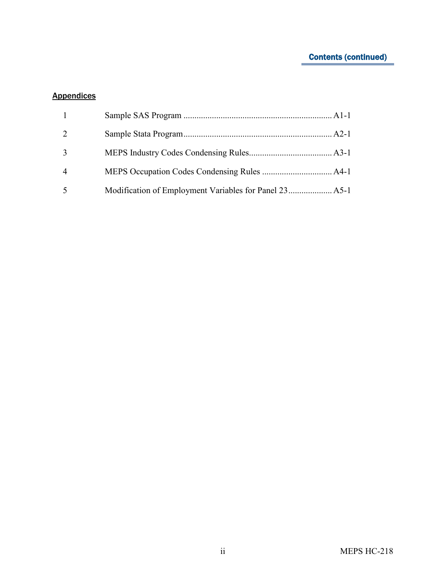## Contents (continued)

## **Appendices**

| $\overline{4}$ |  |
|----------------|--|
|                |  |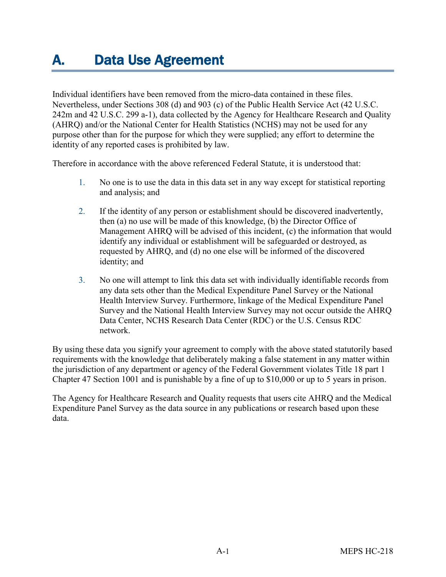# <span id="page-3-0"></span>A. Data Use Agreement

Individual identifiers have been removed from the micro-data contained in these files. Nevertheless, under Sections 308 (d) and 903 (c) of the Public Health Service Act (42 U.S.C. 242m and 42 U.S.C. 299 a-1), data collected by the Agency for Healthcare Research and Quality (AHRQ) and/or the National Center for Health Statistics (NCHS) may not be used for any purpose other than for the purpose for which they were supplied; any effort to determine the identity of any reported cases is prohibited by law.

Therefore in accordance with the above referenced Federal Statute, it is understood that:

- 1. No one is to use the data in this data set in any way except for statistical reporting and analysis; and
- 2. If the identity of any person or establishment should be discovered inadvertently, then (a) no use will be made of this knowledge, (b) the Director Office of Management AHRQ will be advised of this incident, (c) the information that would identify any individual or establishment will be safeguarded or destroyed, as requested by AHRQ, and (d) no one else will be informed of the discovered identity; and
- 3. No one will attempt to link this data set with individually identifiable records from any data sets other than the Medical Expenditure Panel Survey or the National Health Interview Survey. Furthermore, linkage of the Medical Expenditure Panel Survey and the National Health Interview Survey may not occur outside the AHRQ Data Center, NCHS Research Data Center (RDC) or the U.S. Census RDC network.

By using these data you signify your agreement to comply with the above stated statutorily based requirements with the knowledge that deliberately making a false statement in any matter within the jurisdiction of any department or agency of the Federal Government violates Title 18 part 1 Chapter 47 Section 1001 and is punishable by a fine of up to \$10,000 or up to 5 years in prison.

The Agency for Healthcare Research and Quality requests that users cite AHRQ and the Medical Expenditure Panel Survey as the data source in any publications or research based upon these data.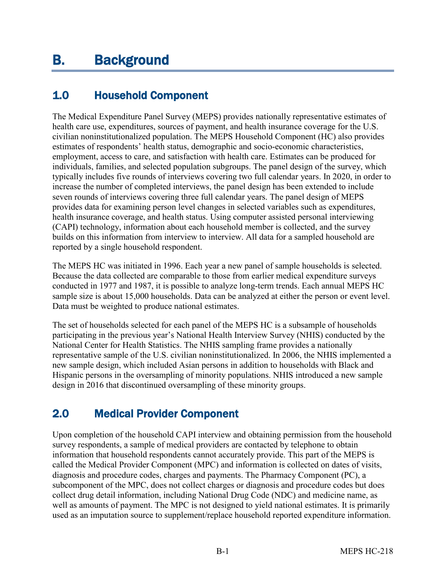# <span id="page-4-2"></span><span id="page-4-0"></span>1.0 Household Component

The Medical Expenditure Panel Survey (MEPS) provides nationally representative estimates of health care use, expenditures, sources of payment, and health insurance coverage for the U.S. civilian noninstitutionalized population. The MEPS Household Component (HC) also provides estimates of respondents' health status, demographic and socio-economic characteristics, employment, access to care, and satisfaction with health care. Estimates can be produced for individuals, families, and selected population subgroups. The panel design of the survey, which typically includes five rounds of interviews covering two full calendar years. In 2020, in order to increase the number of completed interviews, the panel design has been extended to include seven rounds of interviews covering three full calendar years. The panel design of MEPS provides data for examining person level changes in selected variables such as expenditures, health insurance coverage, and health status. Using computer assisted personal interviewing (CAPI) technology, information about each household member is collected, and the survey builds on this information from interview to interview. All data for a sampled household are reported by a single household respondent.

The MEPS HC was initiated in 1996. Each year a new panel of sample households is selected. Because the data collected are comparable to those from earlier medical expenditure surveys conducted in 1977 and 1987, it is possible to analyze long-term trends. Each annual MEPS HC sample size is about 15,000 households. Data can be analyzed at either the person or event level. Data must be weighted to produce national estimates.

The set of households selected for each panel of the MEPS HC is a subsample of households participating in the previous year's National Health Interview Survey (NHIS) conducted by the National Center for Health Statistics. The NHIS sampling frame provides a nationally representative sample of the U.S. civilian noninstitutionalized. In 2006, the NHIS implemented a new sample design, which included Asian persons in addition to households with Black and Hispanic persons in the oversampling of minority populations. NHIS introduced a new sample design in 2016 that discontinued oversampling of these minority groups.

# <span id="page-4-1"></span>2.0 Medical Provider Component

Upon completion of the household CAPI interview and obtaining permission from the household survey respondents, a sample of medical providers are contacted by telephone to obtain information that household respondents cannot accurately provide. This part of the MEPS is called the Medical Provider Component (MPC) and information is collected on dates of visits, diagnosis and procedure codes, charges and payments. The Pharmacy Component (PC), a subcomponent of the MPC, does not collect charges or diagnosis and procedure codes but does collect drug detail information, including National Drug Code (NDC) and medicine name, as well as amounts of payment. The MPC is not designed to yield national estimates. It is primarily used as an imputation source to supplement/replace household reported expenditure information.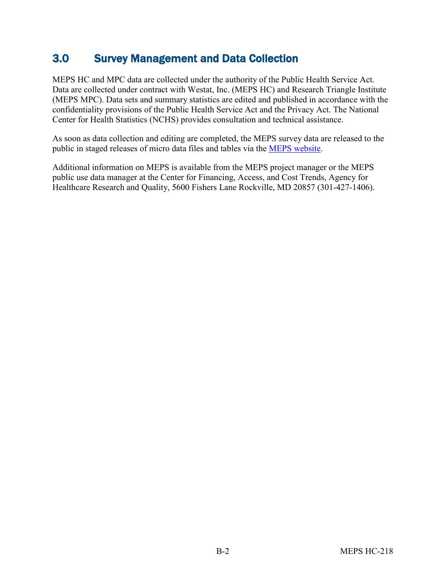## <span id="page-5-0"></span>3.0 Survey Management and Data Collection

MEPS HC and MPC data are collected under the authority of the Public Health Service Act. Data are collected under contract with Westat, Inc. (MEPS HC) and Research Triangle Institute (MEPS MPC). Data sets and summary statistics are edited and published in accordance with the confidentiality provisions of the Public Health Service Act and the Privacy Act. The National Center for Health Statistics (NCHS) provides consultation and technical assistance.

As soon as data collection and editing are completed, the MEPS survey data are released to the public in staged releases of micro data files and tables via the [MEPS website](https://meps.ahrq.gov/mepsweb/).

Additional information on MEPS is available from the MEPS project manager or the MEPS public use data manager at the Center for Financing, Access, and Cost Trends, Agency for Healthcare Research and Quality, 5600 Fishers Lane Rockville, MD 20857 (301-427-1406).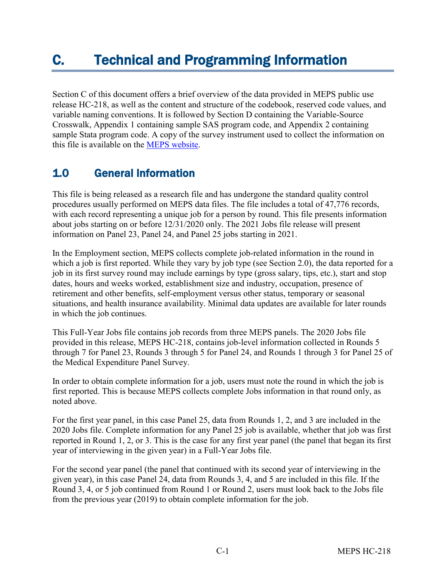# <span id="page-6-0"></span>C. Technical and Programming Information

Section C of this document offers a brief overview of the data provided in MEPS public use release HC-218, as well as the content and structure of the codebook, reserved code values, and variable naming conventions. It is followed by Section D containing the Variable-Source Crosswalk, Appendix 1 containing sample SAS program code, and Appendix 2 containing sample Stata program code. A copy of the survey instrument used to collect the information on this file is available on the [MEPS website.](https://meps.ahrq.gov/mepsweb/)

## <span id="page-6-1"></span>1.0 General Information

This file is being released as a research file and has undergone the standard quality control procedures usually performed on MEPS data files. The file includes a total of 47,776 records, with each record representing a unique job for a person by round. This file presents information about jobs starting on or before 12/31/2020 only. The 2021 Jobs file release will present information on Panel 23, Panel 24, and Panel 25 jobs starting in 2021.

In the Employment section, MEPS collects complete job-related information in the round in which a job is first reported. While they vary by job type (see Section 2.0), the data reported for a job in its first survey round may include earnings by type (gross salary, tips, etc.), start and stop dates, hours and weeks worked, establishment size and industry, occupation, presence of retirement and other benefits, self-employment versus other status, temporary or seasonal situations, and health insurance availability. Minimal data updates are available for later rounds in which the job continues.

This Full-Year Jobs file contains job records from three MEPS panels. The 2020 Jobs file provided in this release, MEPS HC-218, contains job-level information collected in Rounds 5 through 7 for Panel 23, Rounds 3 through 5 for Panel 24, and Rounds 1 through 3 for Panel 25 of the Medical Expenditure Panel Survey.

In order to obtain complete information for a job, users must note the round in which the job is first reported. This is because MEPS collects complete Jobs information in that round only, as noted above.

For the first year panel, in this case Panel 25, data from Rounds 1, 2, and 3 are included in the 2020 Jobs file. Complete information for any Panel 25 job is available, whether that job was first reported in Round 1, 2, or 3. This is the case for any first year panel (the panel that began its first year of interviewing in the given year) in a Full-Year Jobs file.

For the second year panel (the panel that continued with its second year of interviewing in the given year), in this case Panel 24, data from Rounds 3, 4, and 5 are included in this file. If the Round 3, 4, or 5 job continued from Round 1 or Round 2, users must look back to the Jobs file from the previous year (2019) to obtain complete information for the job.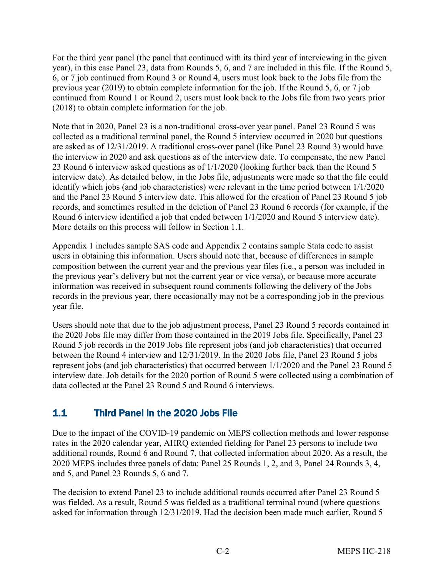For the third year panel (the panel that continued with its third year of interviewing in the given year), in this case Panel 23, data from Rounds 5, 6, and 7 are included in this file. If the Round 5, 6, or 7 job continued from Round 3 or Round 4, users must look back to the Jobs file from the previous year (2019) to obtain complete information for the job. If the Round 5, 6, or 7 job continued from Round 1 or Round 2, users must look back to the Jobs file from two years prior (2018) to obtain complete information for the job.

Note that in 2020, Panel 23 is a non-traditional cross-over year panel. Panel 23 Round 5 was collected as a traditional terminal panel, the Round 5 interview occurred in 2020 but questions are asked as of 12/31/2019. A traditional cross-over panel (like Panel 23 Round 3) would have the interview in 2020 and ask questions as of the interview date. To compensate, the new Panel 23 Round 6 interview asked questions as of 1/1/2020 (looking further back than the Round 5 interview date). As detailed below, in the Jobs file, adjustments were made so that the file could identify which jobs (and job characteristics) were relevant in the time period between 1/1/2020 and the Panel 23 Round 5 interview date. This allowed for the creation of Panel 23 Round 5 job records, and sometimes resulted in the deletion of Panel 23 Round 6 records (for example, if the Round 6 interview identified a job that ended between 1/1/2020 and Round 5 interview date). More details on this process will follow in Section 1.1.

Appendix 1 includes sample SAS code and Appendix 2 contains sample Stata code to assist users in obtaining this information. Users should note that, because of differences in sample composition between the current year and the previous year files (i.e., a person was included in the previous year's delivery but not the current year or vice versa), or because more accurate information was received in subsequent round comments following the delivery of the Jobs records in the previous year, there occasionally may not be a corresponding job in the previous year file.

Users should note that due to the job adjustment process, Panel 23 Round 5 records contained in the 2020 Jobs file may differ from those contained in the 2019 Jobs file. Specifically, Panel 23 Round 5 job records in the 2019 Jobs file represent jobs (and job characteristics) that occurred between the Round 4 interview and 12/31/2019. In the 2020 Jobs file, Panel 23 Round 5 jobs represent jobs (and job characteristics) that occurred between 1/1/2020 and the Panel 23 Round 5 interview date. Job details for the 2020 portion of Round 5 were collected using a combination of data collected at the Panel 23 Round 5 and Round 6 interviews.

## <span id="page-7-0"></span>1.1 Third Panel in the 2020 Jobs File

Due to the impact of the COVID-19 pandemic on MEPS collection methods and lower response rates in the 2020 calendar year, AHRQ extended fielding for Panel 23 persons to include two additional rounds, Round 6 and Round 7, that collected information about 2020. As a result, the 2020 MEPS includes three panels of data: Panel 25 Rounds 1, 2, and 3, Panel 24 Rounds 3, 4, and 5, and Panel 23 Rounds 5, 6 and 7.

The decision to extend Panel 23 to include additional rounds occurred after Panel 23 Round 5 was fielded. As a result, Round 5 was fielded as a traditional terminal round (where questions asked for information through 12/31/2019. Had the decision been made much earlier, Round 5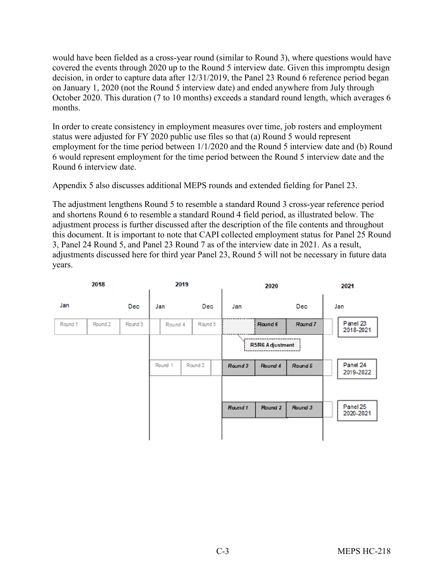would have been fielded as a cross-year round (similar to Round 3), where questions would have covered the events through 2020 up to the Round 5 interview date. Given this impromptu design decision, in order to capture data after 12/31/2019, the Panel 23 Round 6 reference period began on January 1, 2020 (not the Round 5 interview date) and ended anywhere from July through October 2020. This duration (7 to 10 months) exceeds a standard round length, which averages 6 months.

In order to create consistency in employment measures over time, job rosters and employment status were adjusted for FY 2020 public use files so that (a) Round 5 would represent employment for the time period between 1/1/2020 and the Round 5 interview date and (b) Round 6 would represent employment for the time period between the Round 5 interview date and the Round 6 interview date.

Appendix 5 also discusses additional MEPS rounds and extended fielding for Panel 23.

The adjustment lengthens Round 5 to resemble a standard Round 3 cross-year reference period and shortens Round 6 to resemble a standard Round 4 field period, as illustrated below. The adjustment process is further discussed after the description of the file contents and throughout this document. It is important to note that CAPI collected employment status for Panel 25 Round 3, Panel 24 Round 5, and Panel 23 Round 7 as of the interview date in 2021. As a result, adjustments discussed here for third year Panel 23, Round 5 will not be necessary in future data years.

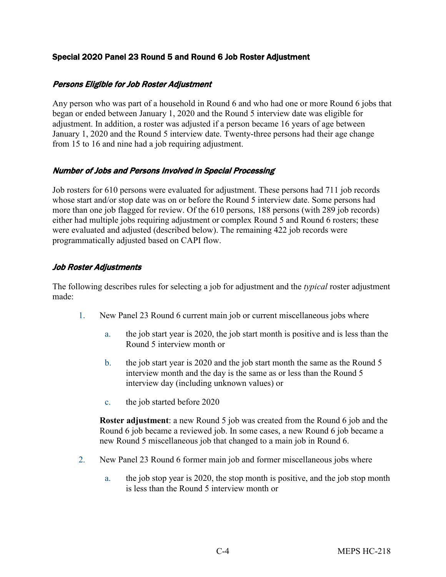#### Special 2020 Panel 23 Round 5 and Round 6 Job Roster Adjustment

#### Persons Eligible for Job Roster Adjustment

Any person who was part of a household in Round 6 and who had one or more Round 6 jobs that began or ended between January 1, 2020 and the Round 5 interview date was eligible for adjustment. In addition, a roster was adjusted if a person became 16 years of age between January 1, 2020 and the Round 5 interview date. Twenty-three persons had their age change from 15 to 16 and nine had a job requiring adjustment.

#### Number of Jobs and Persons Involved in Special Processing

Job rosters for 610 persons were evaluated for adjustment. These persons had 711 job records whose start and/or stop date was on or before the Round 5 interview date. Some persons had more than one job flagged for review. Of the 610 persons, 188 persons (with 289 job records) either had multiple jobs requiring adjustment or complex Round 5 and Round 6 rosters; these were evaluated and adjusted (described below). The remaining 422 job records were programmatically adjusted based on CAPI flow.

#### Job Roster Adjustments

The following describes rules for selecting a job for adjustment and the *typical* roster adjustment made:

- 1. New Panel 23 Round 6 current main job or current miscellaneous jobs where
	- a. the job start year is 2020, the job start month is positive and is less than the Round 5 interview month or
	- b. the job start year is 2020 and the job start month the same as the Round 5 interview month and the day is the same as or less than the Round 5 interview day (including unknown values) or
	- c. the job started before 2020

**Roster adjustment**: a new Round 5 job was created from the Round 6 job and the Round 6 job became a reviewed job. In some cases, a new Round 6 job became a new Round 5 miscellaneous job that changed to a main job in Round 6.

- 2. New Panel 23 Round 6 former main job and former miscellaneous jobs where
	- a. the job stop year is 2020, the stop month is positive, and the job stop month is less than the Round 5 interview month or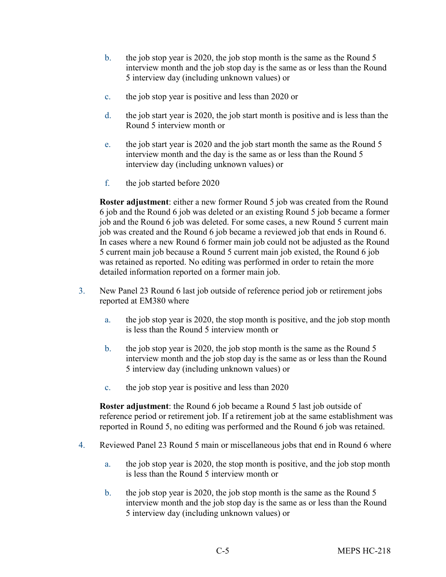- b. the job stop year is 2020, the job stop month is the same as the Round 5 interview month and the job stop day is the same as or less than the Round 5 interview day (including unknown values) or
- c. the job stop year is positive and less than 2020 or
- d. the job start year is 2020, the job start month is positive and is less than the Round 5 interview month or
- e. the job start year is 2020 and the job start month the same as the Round 5 interview month and the day is the same as or less than the Round 5 interview day (including unknown values) or
- f. the job started before 2020

**Roster adjustment**: either a new former Round 5 job was created from the Round 6 job and the Round 6 job was deleted or an existing Round 5 job became a former job and the Round 6 job was deleted. For some cases, a new Round 5 current main job was created and the Round 6 job became a reviewed job that ends in Round 6. In cases where a new Round 6 former main job could not be adjusted as the Round 5 current main job because a Round 5 current main job existed, the Round 6 job was retained as reported. No editing was performed in order to retain the more detailed information reported on a former main job.

- 3. New Panel 23 Round 6 last job outside of reference period job or retirement jobs reported at EM380 where
	- a. the job stop year is 2020, the stop month is positive, and the job stop month is less than the Round 5 interview month or
	- b. the job stop year is 2020, the job stop month is the same as the Round 5 interview month and the job stop day is the same as or less than the Round 5 interview day (including unknown values) or
	- c. the job stop year is positive and less than 2020

**Roster adjustment**: the Round 6 job became a Round 5 last job outside of reference period or retirement job. If a retirement job at the same establishment was reported in Round 5, no editing was performed and the Round 6 job was retained.

- 4. Reviewed Panel 23 Round 5 main or miscellaneous jobs that end in Round 6 where
	- a. the job stop year is 2020, the stop month is positive, and the job stop month is less than the Round 5 interview month or
	- b. the job stop year is 2020, the job stop month is the same as the Round 5 interview month and the job stop day is the same as or less than the Round 5 interview day (including unknown values) or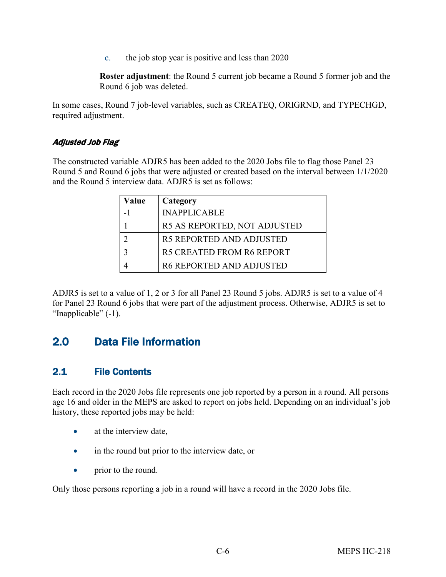c. the job stop year is positive and less than 2020

**Roster adjustment**: the Round 5 current job became a Round 5 former job and the Round 6 job was deleted.

In some cases, Round 7 job-level variables, such as CREATEQ, ORIGRND, and TYPECHGD, required adjustment.

#### Adjusted Job Flag

The constructed variable ADJR5 has been added to the 2020 Jobs file to flag those Panel 23 Round 5 and Round 6 jobs that were adjusted or created based on the interval between 1/1/2020 and the Round 5 interview data. ADJR5 is set as follows:

| /alue | Category                     |
|-------|------------------------------|
|       | <b>INAPPLICABLE</b>          |
|       | R5 AS REPORTED, NOT ADJUSTED |
|       | R5 REPORTED AND ADJUSTED     |
|       | R5 CREATED FROM R6 REPORT    |
|       | R6 REPORTED AND ADJUSTED     |

ADJR5 is set to a value of 1, 2 or 3 for all Panel 23 Round 5 jobs. ADJR5 is set to a value of 4 for Panel 23 Round 6 jobs that were part of the adjustment process. Otherwise, ADJR5 is set to "Inapplicable" (-1).

# <span id="page-11-0"></span>2.0 Data File Information

## <span id="page-11-1"></span>2.1 File Contents

Each record in the 2020 Jobs file represents one job reported by a person in a round. All persons age 16 and older in the MEPS are asked to report on jobs held. Depending on an individual's job history, these reported jobs may be held:

- at the interview date,
- in the round but prior to the interview date, or
- prior to the round.

Only those persons reporting a job in a round will have a record in the 2020 Jobs file.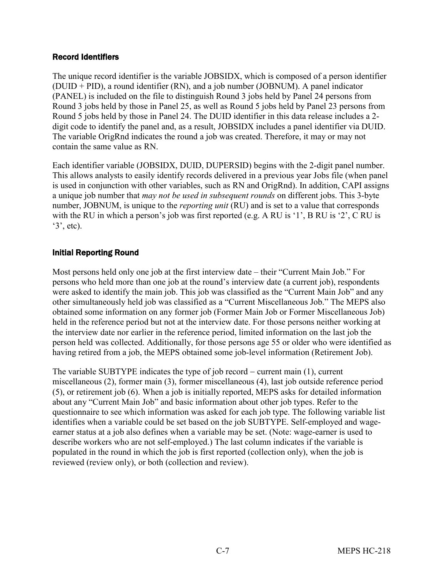#### Record Identifiers

The unique record identifier is the variable JOBSIDX, which is composed of a person identifier (DUID + PID), a round identifier (RN), and a job number (JOBNUM). A panel indicator (PANEL) is included on the file to distinguish Round 3 jobs held by Panel 24 persons from Round 3 jobs held by those in Panel 25, as well as Round 5 jobs held by Panel 23 persons from Round 5 jobs held by those in Panel 24. The DUID identifier in this data release includes a 2 digit code to identify the panel and, as a result, JOBSIDX includes a panel identifier via DUID. The variable OrigRnd indicates the round a job was created. Therefore, it may or may not contain the same value as RN.

Each identifier variable (JOBSIDX, DUID, DUPERSID) begins with the 2-digit panel number. This allows analysts to easily identify records delivered in a previous year Jobs file (when panel is used in conjunction with other variables, such as RN and OrigRnd). In addition, CAPI assigns a unique job number that *may not be used in subsequent rounds* on different jobs. This 3-byte number, JOBNUM, is unique to the *reporting unit* (RU) and is set to a value that corresponds with the RU in which a person's job was first reported (e.g. A RU is '1', B RU is '2', C RU is  $\mathcal{E}(3^{\circ}, \text{etc}).$ 

#### Initial Reporting Round

Most persons held only one job at the first interview date – their "Current Main Job." For persons who held more than one job at the round's interview date (a current job), respondents were asked to identify the main job. This job was classified as the "Current Main Job" and any other simultaneously held job was classified as a "Current Miscellaneous Job." The MEPS also obtained some information on any former job (Former Main Job or Former Miscellaneous Job) held in the reference period but not at the interview date. For those persons neither working at the interview date nor earlier in the reference period, limited information on the last job the person held was collected. Additionally, for those persons age 55 or older who were identified as having retired from a job, the MEPS obtained some job-level information (Retirement Job).

The variable SUBTYPE indicates the type of job record − current main (1), current miscellaneous (2), former main (3), former miscellaneous (4), last job outside reference period (5), or retirement job (6). When a job is initially reported, MEPS asks for detailed information about any "Current Main Job" and basic information about other job types. Refer to the questionnaire to see which information was asked for each job type. The following variable list identifies when a variable could be set based on the job SUBTYPE. Self-employed and wageearner status at a job also defines when a variable may be set. (Note: wage-earner is used to describe workers who are not self-employed.) The last column indicates if the variable is populated in the round in which the job is first reported (collection only), when the job is reviewed (review only), or both (collection and review).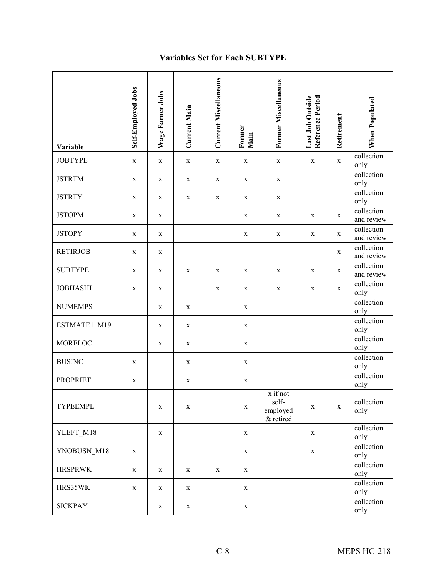## **Variables Set for Each SUBTYPE**

| Variable        | Self-Employed Jobs | Wage Earner Jobs | <b>Current Main</b> | <b>Current Miscellaneous</b> | Former<br>Main | <b>Former Miscellaneous</b>                | Reference Period<br>Last Job Outside | Retirement  | When Populated           |
|-----------------|--------------------|------------------|---------------------|------------------------------|----------------|--------------------------------------------|--------------------------------------|-------------|--------------------------|
| <b>JOBTYPE</b>  | $\mathbf X$        | $\mathbf X$      | $\mathbf X$         | $\mathbf X$                  | X              | $\mathbf X$                                | $\mathbf X$                          | $\mathbf X$ | collection<br>only       |
| <b>JSTRTM</b>   | $\mathbf X$        | $\mathbf X$      | X                   | $\mathbf X$                  | $\mathbf X$    | $\mathbf X$                                |                                      |             | collection<br>only       |
| <b>JSTRTY</b>   | X                  | $\mathbf X$      | $\mathbf X$         | $\mathbf X$                  | $\mathbf X$    | $\mathbf X$                                |                                      |             | collection<br>only       |
| <b>JSTOPM</b>   | X                  | X                |                     |                              | X              | X                                          | X                                    | X           | collection<br>and review |
| <b>JSTOPY</b>   | X                  | $\mathbf X$      |                     |                              | X              | X                                          | X                                    | X           | collection<br>and review |
| <b>RETIRJOB</b> | $\mathbf X$        | $\mathbf X$      |                     |                              |                |                                            |                                      | X           | collection<br>and review |
| <b>SUBTYPE</b>  | X                  | $\mathbf X$      | $\mathbf X$         | X                            | X              | $\mathbf X$                                | X                                    | $\mathbf X$ | collection<br>and review |
| <b>JOBHASHI</b> | X                  | $\mathbf X$      |                     | X                            | X              | $\mathbf X$                                | X                                    | X           | collection<br>only       |
| <b>NUMEMPS</b>  |                    | $\mathbf X$      | $\mathbf X$         |                              | $\mathbf X$    |                                            |                                      |             | collection<br>only       |
| ESTMATE1_M19    |                    | $\mathbf X$      | X                   |                              | X              |                                            |                                      |             | collection<br>only       |
| MORELOC         |                    | $\mathbf X$      | X                   |                              | $\mathbf X$    |                                            |                                      |             | collection<br>only       |
| <b>BUSINC</b>   | X                  |                  | $\mathbf X$         |                              | X              |                                            |                                      |             | collection<br>only       |
| <b>PROPRIET</b> | X                  |                  | X                   |                              | X              |                                            |                                      |             | collection<br>only       |
| TYPEEMPL        |                    | $\mathbf X$      | $\mathbf X$         |                              | $\mathbf X$    | x if not<br>self-<br>employed<br>& retired | X                                    | $\mathbf X$ | collection<br>only       |
| YLEFT_M18       |                    | $\mathbf X$      |                     |                              | $\mathbf X$    |                                            | $\mathbf X$                          |             | collection<br>only       |
| YNOBUSN_M18     | X                  |                  |                     |                              | $\mathbf X$    |                                            | $\mathbf X$                          |             | collection<br>only       |
| <b>HRSPRWK</b>  | $\mathbf X$        | X                | X                   | $\mathbf X$                  | $\mathbf X$    |                                            |                                      |             | collection<br>only       |
| HRS35WK         | X                  | X                | X                   |                              | X              |                                            |                                      |             | collection<br>only       |
| <b>SICKPAY</b>  |                    | $\mathbf X$      | X                   |                              | X              |                                            |                                      |             | collection<br>only       |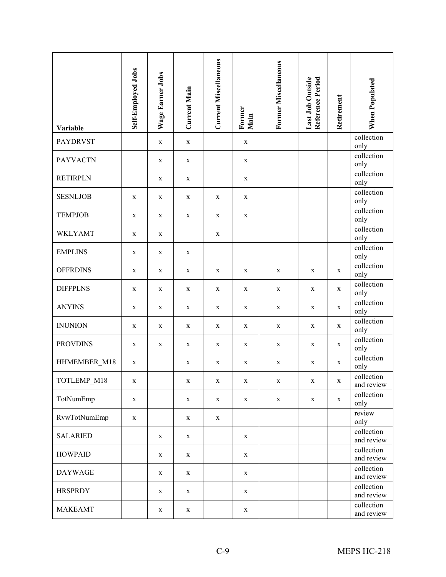| Variable        | Self-Employed Jobs | Wage Earner Jobs | Current Main | <b>Current Miscellaneous</b> | Former<br>Main | Former Miscellaneous | Reference Period<br>Last Job Outside | Retirement  | <b>When Populated</b>    |
|-----------------|--------------------|------------------|--------------|------------------------------|----------------|----------------------|--------------------------------------|-------------|--------------------------|
| <b>PAYDRVST</b> |                    | $\mathbf X$      | $\mathbf X$  |                              | $\mathbf X$    |                      |                                      |             | collection<br>only       |
| <b>PAYVACTN</b> |                    | $\mathbf X$      | $\mathbf X$  |                              | $\mathbf X$    |                      |                                      |             | collection<br>only       |
| <b>RETIRPLN</b> |                    | $\mathbf X$      | $\mathbf X$  |                              | $\mathbf X$    |                      |                                      |             | collection<br>only       |
| <b>SESNLJOB</b> | X                  | X                | X            | X                            | X              |                      |                                      |             | collection<br>only       |
| <b>TEMPJOB</b>  | X                  | X                | X            | X                            | X              |                      |                                      |             | collection<br>only       |
| <b>WKLYAMT</b>  | X                  | $\mathbf X$      |              | X                            |                |                      |                                      |             | collection<br>only       |
| <b>EMPLINS</b>  | $\mathbf X$        | $\mathbf X$      | $\mathbf X$  |                              |                |                      |                                      |             | collection<br>only       |
| <b>OFFRDINS</b> | $\mathbf X$        | $\mathbf X$      | $\mathbf X$  | X                            | X              | X                    | $\mathbf X$                          | $\mathbf X$ | collection<br>only       |
| <b>DIFFPLNS</b> | X                  | $\mathbf X$      | $\mathbf X$  | X                            | X              | X                    | X                                    | $\mathbf X$ | collection<br>only       |
| <b>ANYINS</b>   | X                  | X                | X            | X                            | X              | X                    | X                                    | X           | collection<br>only       |
| <b>INUNION</b>  | X                  | $\mathbf X$      | $\mathbf X$  | X                            | $\mathbf X$    | X                    | X                                    | X           | collection<br>only       |
| <b>PROVDINS</b> | X                  | $\mathbf X$      | X            | X                            | $\mathbf X$    | X                    | X                                    | X           | collection<br>only       |
| HHMEMBER_M18    | X                  |                  | X            | X                            | $\mathbf X$    | X                    | X                                    | $\mathbf X$ | collection<br>only       |
| TOTLEMP_M18     | X                  |                  | X            | X                            | X              | X                    | X                                    | X           | collection<br>and review |
| TotNumEmp       | $\mathbf X$        |                  | $\mathbf X$  | X                            | $\mathbf X$    | $\mathbf X$          | X                                    | X           | collection<br>only       |
| RvwTotNumEmp    | $\mathbf X$        |                  | X            | X                            |                |                      |                                      |             | review<br>only           |
| <b>SALARIED</b> |                    | $\mathbf X$      | X            |                              | $\mathbf X$    |                      |                                      |             | collection<br>and review |
| <b>HOWPAID</b>  |                    | $\mathbf X$      | X            |                              | $\mathbf X$    |                      |                                      |             | collection<br>and review |
| <b>DAYWAGE</b>  |                    | $\mathbf X$      | X            |                              | $\mathbf X$    |                      |                                      |             | collection<br>and review |
| <b>HRSPRDY</b>  |                    | $\mathbf X$      | $\mathbf X$  |                              | $\mathbf X$    |                      |                                      |             | collection<br>and review |
| <b>MAKEAMT</b>  |                    | $\mathbf X$      | $\mathbf X$  |                              | $\mathbf X$    |                      |                                      |             | collection<br>and review |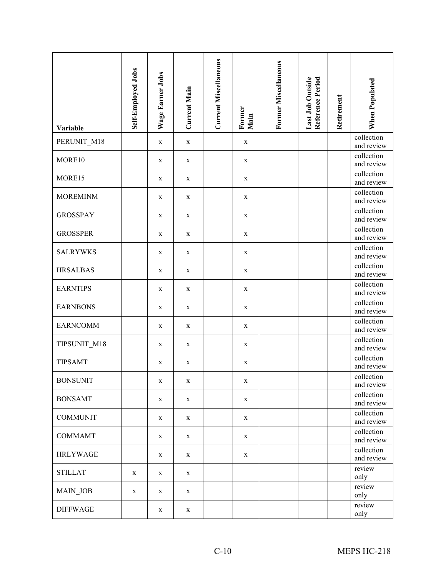| Variable        | Self-Employed Jobs | Wage Earner Jobs | <b>Current Main</b> | <b>Current Miscellaneous</b> | Former<br>Main | Former Miscellaneous | Reference Period<br>Last Job Outside | Retirement | When Populated           |
|-----------------|--------------------|------------------|---------------------|------------------------------|----------------|----------------------|--------------------------------------|------------|--------------------------|
| PERUNIT_M18     |                    | $\mathbf X$      | $\mathbf X$         |                              | $\mathbf X$    |                      |                                      |            | collection<br>and review |
| MORE10          |                    | $\mathbf X$      | $\mathbf X$         |                              | $\mathbf X$    |                      |                                      |            | collection<br>and review |
| MORE15          |                    | X                | X                   |                              | $\mathbf X$    |                      |                                      |            | collection<br>and review |
| <b>MOREMINM</b> |                    | X                | $\mathbf X$         |                              | $\mathbf X$    |                      |                                      |            | collection<br>and review |
| <b>GROSSPAY</b> |                    | X                | $\mathbf X$         |                              | X              |                      |                                      |            | collection<br>and review |
| <b>GROSSPER</b> |                    | $\mathbf X$      | $\mathbf X$         |                              | $\mathbf X$    |                      |                                      |            | collection<br>and review |
| <b>SALRYWKS</b> |                    | $\mathbf X$      | $\mathbf X$         |                              | $\mathbf X$    |                      |                                      |            | collection<br>and review |
| <b>HRSALBAS</b> |                    | $\mathbf X$      | $\mathbf X$         |                              | $\mathbf X$    |                      |                                      |            | collection<br>and review |
| <b>EARNTIPS</b> |                    | $\mathbf X$      | X                   |                              | $\mathbf X$    |                      |                                      |            | collection<br>and review |
| <b>EARNBONS</b> |                    | X                | X                   |                              | $\mathbf X$    |                      |                                      |            | collection<br>and review |
| <b>EARNCOMM</b> |                    | $\mathbf X$      | $\mathbf X$         |                              | X              |                      |                                      |            | collection<br>and review |
| TIPSUNIT_M18    |                    | X                | X                   |                              | X              |                      |                                      |            | collection<br>and review |
| <b>TIPSAMT</b>  |                    | X                | X                   |                              | $\mathbf X$    |                      |                                      |            | collection<br>and review |
| <b>BONSUNIT</b> |                    | X                | X                   |                              | X              |                      |                                      |            | collection<br>and review |
| <b>BONSAMT</b>  |                    | X                | $\mathbf X$         |                              | $\mathbf X$    |                      |                                      |            | collection<br>and review |
| <b>COMMUNIT</b> |                    | X                | $\mathbf X$         |                              | $\mathbf X$    |                      |                                      |            | collection<br>and review |
| <b>COMMAMT</b>  |                    | X                | X                   |                              | $\mathbf X$    |                      |                                      |            | collection<br>and review |
| <b>HRLYWAGE</b> |                    | $\mathbf X$      | $\mathbf X$         |                              | $\mathbf X$    |                      |                                      |            | collection<br>and review |
| <b>STILLAT</b>  | X                  | $\mathbf X$      | X                   |                              |                |                      |                                      |            | review<br>only           |
| MAIN_JOB        | X                  | X                | X                   |                              |                |                      |                                      |            | review<br>only           |
| <b>DIFFWAGE</b> |                    | $\mathbf X$      | X                   |                              |                |                      |                                      |            | review<br>only           |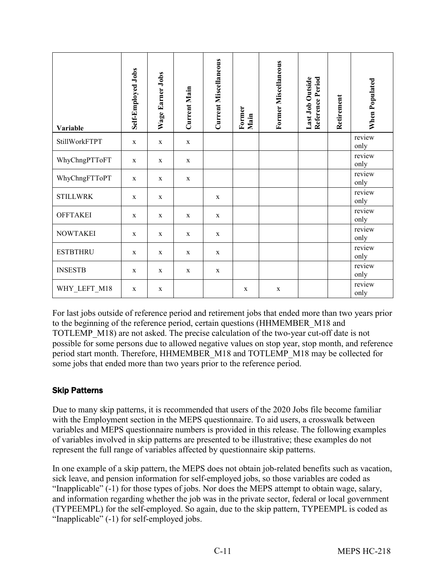| Variable        | Self-Employed Jobs | Wage Earner Jobs | <b>Current Main</b> | <b>Current Miscellaneous</b> | Former<br>Main | Former Miscellaneous | Reference Period<br>Last Job Outside | Retirement | When Populated |
|-----------------|--------------------|------------------|---------------------|------------------------------|----------------|----------------------|--------------------------------------|------------|----------------|
| StillWorkFTPT   | $\mathbf X$        | $\mathbf X$      | $\mathbf X$         |                              |                |                      |                                      |            | review<br>only |
| WhyChngPTToFT   | $\mathbf X$        | $\mathbf X$      | $\mathbf X$         |                              |                |                      |                                      |            | review<br>only |
| WhyChngFTToPT   | X                  | $\mathbf x$      | $\mathbf{X}$        |                              |                |                      |                                      |            | review<br>only |
| <b>STILLWRK</b> | $\mathbf X$        | $\mathbf X$      |                     | $\mathbf X$                  |                |                      |                                      |            | review<br>only |
| <b>OFFTAKEI</b> | X                  | $\mathbf x$      | $\mathbf X$         | $\mathbf X$                  |                |                      |                                      |            | review<br>only |
| <b>NOWTAKEI</b> | X                  | $\mathbf X$      | $\mathbf X$         | $\mathbf X$                  |                |                      |                                      |            | review<br>only |
| <b>ESTBTHRU</b> | $\mathbf X$        | $\mathbf X$      | $\mathbf X$         | $\mathbf X$                  |                |                      |                                      |            | review<br>only |
| <b>INSESTB</b>  | $\mathbf X$        | $\mathbf X$      | $\mathbf X$         | $\mathbf X$                  |                |                      |                                      |            | review<br>only |
| WHY_LEFT_M18    | $\mathbf X$        | $\mathbf X$      |                     |                              | $\mathbf X$    | $\mathbf X$          |                                      |            | review<br>only |

For last jobs outside of reference period and retirement jobs that ended more than two years prior to the beginning of the reference period, certain questions (HHMEMBER\_M18 and TOTLEMP\_M18) are not asked. The precise calculation of the two-year cut-off date is not possible for some persons due to allowed negative values on stop year, stop month, and reference period start month. Therefore, HHMEMBER\_M18 and TOTLEMP\_M18 may be collected for some jobs that ended more than two years prior to the reference period.

### Skip Patterns

Due to many skip patterns, it is recommended that users of the 2020 Jobs file become familiar with the Employment section in the MEPS questionnaire. To aid users, a crosswalk between variables and MEPS questionnaire numbers is provided in this release. The following examples of variables involved in skip patterns are presented to be illustrative; these examples do not represent the full range of variables affected by questionnaire skip patterns.

In one example of a skip pattern, the MEPS does not obtain job-related benefits such as vacation, sick leave, and pension information for self-employed jobs, so those variables are coded as "Inapplicable" (-1) for those types of jobs. Nor does the MEPS attempt to obtain wage, salary, and information regarding whether the job was in the private sector, federal or local government (TYPEEMPL) for the self-employed. So again, due to the skip pattern, TYPEEMPL is coded as "Inapplicable" (-1) for self-employed jobs.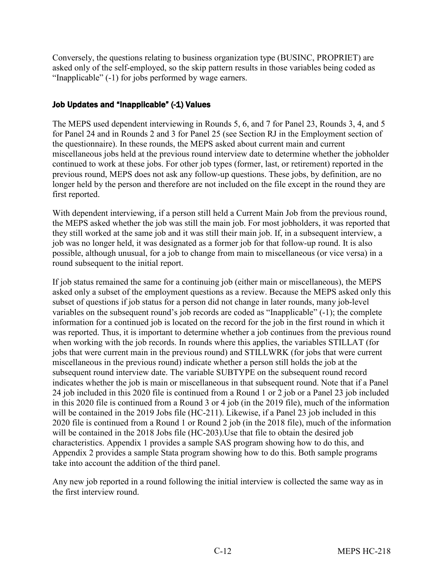Conversely, the questions relating to business organization type (BUSINC, PROPRIET) are asked only of the self-employed, so the skip pattern results in those variables being coded as "Inapplicable" (-1) for jobs performed by wage earners.

#### Job Updates and "Inapplicable" (-1) Values

The MEPS used dependent interviewing in Rounds 5, 6, and 7 for Panel 23, Rounds 3, 4, and 5 for Panel 24 and in Rounds 2 and 3 for Panel 25 (see Section RJ in the Employment section of the questionnaire). In these rounds, the MEPS asked about current main and current miscellaneous jobs held at the previous round interview date to determine whether the jobholder continued to work at these jobs. For other job types (former, last, or retirement) reported in the previous round, MEPS does not ask any follow-up questions. These jobs, by definition, are no longer held by the person and therefore are not included on the file except in the round they are first reported.

With dependent interviewing, if a person still held a Current Main Job from the previous round, the MEPS asked whether the job was still the main job. For most jobholders, it was reported that they still worked at the same job and it was still their main job. If, in a subsequent interview, a job was no longer held, it was designated as a former job for that follow-up round. It is also possible, although unusual, for a job to change from main to miscellaneous (or vice versa) in a round subsequent to the initial report.

If job status remained the same for a continuing job (either main or miscellaneous), the MEPS asked only a subset of the employment questions as a review. Because the MEPS asked only this subset of questions if job status for a person did not change in later rounds, many job-level variables on the subsequent round's job records are coded as "Inapplicable" (-1); the complete information for a continued job is located on the record for the job in the first round in which it was reported. Thus, it is important to determine whether a job continues from the previous round when working with the job records. In rounds where this applies, the variables STILLAT (for jobs that were current main in the previous round) and STILLWRK (for jobs that were current miscellaneous in the previous round) indicate whether a person still holds the job at the subsequent round interview date. The variable SUBTYPE on the subsequent round record indicates whether the job is main or miscellaneous in that subsequent round. Note that if a Panel 24 job included in this 2020 file is continued from a Round 1 or 2 job or a Panel 23 job included in this 2020 file is continued from a Round 3 or 4 job (in the 2019 file), much of the information will be contained in the 2019 Jobs file (HC-211). Likewise, if a Panel 23 job included in this 2020 file is continued from a Round 1 or Round 2 job (in the 2018 file), much of the information will be contained in the 2018 Jobs file (HC-203).Use that file to obtain the desired job characteristics. Appendix 1 provides a sample SAS program showing how to do this, and Appendix 2 provides a sample Stata program showing how to do this. Both sample programs take into account the addition of the third panel.

Any new job reported in a round following the initial interview is collected the same way as in the first interview round.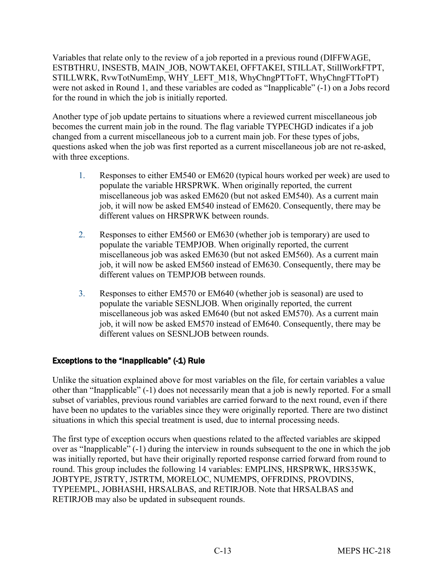Variables that relate only to the review of a job reported in a previous round (DIFFWAGE, ESTBTHRU, INSESTB, MAIN\_JOB, NOWTAKEI, OFFTAKEI, STILLAT, StillWorkFTPT, STILLWRK, RvwTotNumEmp, WHY\_LEFT\_M18, WhyChngPTToFT, WhyChngFTToPT) were not asked in Round 1, and these variables are coded as "Inapplicable" (-1) on a Jobs record for the round in which the job is initially reported.

Another type of job update pertains to situations where a reviewed current miscellaneous job becomes the current main job in the round. The flag variable TYPECHGD indicates if a job changed from a current miscellaneous job to a current main job. For these types of jobs, questions asked when the job was first reported as a current miscellaneous job are not re-asked, with three exceptions.

- 1. Responses to either EM540 or EM620 (typical hours worked per week) are used to populate the variable HRSPRWK. When originally reported, the current miscellaneous job was asked EM620 (but not asked EM540). As a current main job, it will now be asked EM540 instead of EM620. Consequently, there may be different values on HRSPRWK between rounds.
- 2. Responses to either EM560 or EM630 (whether job is temporary) are used to populate the variable TEMPJOB. When originally reported, the current miscellaneous job was asked EM630 (but not asked EM560). As a current main job, it will now be asked EM560 instead of EM630. Consequently, there may be different values on TEMPJOB between rounds.
- 3. Responses to either EM570 or EM640 (whether job is seasonal) are used to populate the variable SESNLJOB. When originally reported, the current miscellaneous job was asked EM640 (but not asked EM570). As a current main job, it will now be asked EM570 instead of EM640. Consequently, there may be different values on SESNLJOB between rounds.

### Exceptions to the "Inapplicable" (-1) Rule

Unlike the situation explained above for most variables on the file, for certain variables a value other than "Inapplicable" (-1) does not necessarily mean that a job is newly reported. For a small subset of variables, previous round variables are carried forward to the next round, even if there have been no updates to the variables since they were originally reported. There are two distinct situations in which this special treatment is used, due to internal processing needs.

The first type of exception occurs when questions related to the affected variables are skipped over as "Inapplicable" (-1) during the interview in rounds subsequent to the one in which the job was initially reported, but have their originally reported response carried forward from round to round. This group includes the following 14 variables: EMPLINS, HRSPRWK, HRS35WK, JOBTYPE, JSTRTY, JSTRTM, MORELOC, NUMEMPS, OFFRDINS, PROVDINS, TYPEEMPL, JOBHASHI, HRSALBAS, and RETIRJOB. Note that HRSALBAS and RETIRJOB may also be updated in subsequent rounds.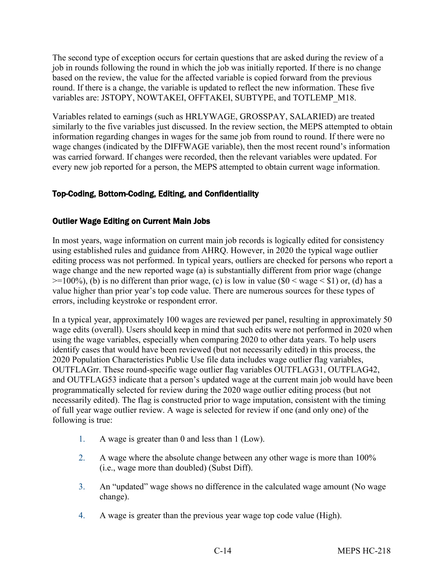The second type of exception occurs for certain questions that are asked during the review of a job in rounds following the round in which the job was initially reported. If there is no change based on the review, the value for the affected variable is copied forward from the previous round. If there is a change, the variable is updated to reflect the new information. These five variables are: JSTOPY, NOWTAKEI, OFFTAKEI, SUBTYPE, and TOTLEMP\_M18.

Variables related to earnings (such as HRLYWAGE, GROSSPAY, SALARIED) are treated similarly to the five variables just discussed. In the review section, the MEPS attempted to obtain information regarding changes in wages for the same job from round to round. If there were no wage changes (indicated by the DIFFWAGE variable), then the most recent round's information was carried forward. If changes were recorded, then the relevant variables were updated. For every new job reported for a person, the MEPS attempted to obtain current wage information.

#### Top-Coding, Bottom-Coding, Editing, and Confidentiality

#### Outlier Wage Editing on Current Main Jobs

In most years, wage information on current main job records is logically edited for consistency using established rules and guidance from AHRQ. However, in 2020 the typical wage outlier editing process was not performed. In typical years, outliers are checked for persons who report a wage change and the new reported wage (a) is substantially different from prior wage (change  $\geq$ =100%), (b) is no different than prior wage, (c) is low in value (\$0 < wage < \$1) or, (d) has a value higher than prior year's top code value. There are numerous sources for these types of errors, including keystroke or respondent error.

In a typical year, approximately 100 wages are reviewed per panel, resulting in approximately 50 wage edits (overall). Users should keep in mind that such edits were not performed in 2020 when using the wage variables, especially when comparing 2020 to other data years. To help users identify cases that would have been reviewed (but not necessarily edited) in this process, the 2020 Population Characteristics Public Use file data includes wage outlier flag variables, OUTFLAGrr. These round-specific wage outlier flag variables OUTFLAG31, OUTFLAG42, and OUTFLAG53 indicate that a person's updated wage at the current main job would have been programmatically selected for review during the 2020 wage outlier editing process (but not necessarily edited). The flag is constructed prior to wage imputation, consistent with the timing of full year wage outlier review. A wage is selected for review if one (and only one) of the following is true:

- 1. A wage is greater than 0 and less than 1 (Low).
- 2. A wage where the absolute change between any other wage is more than 100% (i.e., wage more than doubled) (Subst Diff).
- 3. An "updated" wage shows no difference in the calculated wage amount (No wage change).
- 4. A wage is greater than the previous year wage top code value (High).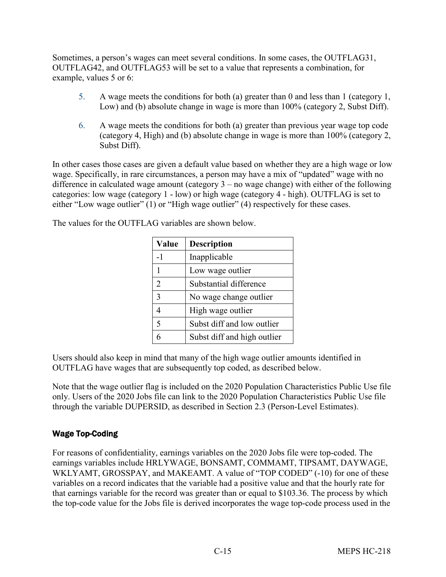Sometimes, a person's wages can meet several conditions. In some cases, the OUTFLAG31, OUTFLAG42, and OUTFLAG53 will be set to a value that represents a combination, for example, values 5 or 6:

- 5. A wage meets the conditions for both (a) greater than 0 and less than 1 (category 1, Low) and (b) absolute change in wage is more than 100% (category 2, Subst Diff).
- 6. A wage meets the conditions for both (a) greater than previous year wage top code (category 4, High) and (b) absolute change in wage is more than 100% (category 2, Subst Diff).

In other cases those cases are given a default value based on whether they are a high wage or low wage. Specifically, in rare circumstances, a person may have a mix of "updated" wage with no difference in calculated wage amount (category 3 – no wage change) with either of the following categories: low wage (category 1 - low) or high wage (category 4 - high). OUTFLAG is set to either "Low wage outlier" (1) or "High wage outlier" (4) respectively for these cases.

The values for the OUTFLAG variables are shown below.

| Value          | <b>Description</b>          |
|----------------|-----------------------------|
| -1             | Inapplicable                |
| 1              | Low wage outlier            |
| $\overline{2}$ | Substantial difference      |
| 3              | No wage change outlier      |
| $\overline{4}$ | High wage outlier           |
| 5              | Subst diff and low outlier  |
|                | Subst diff and high outlier |

Users should also keep in mind that many of the high wage outlier amounts identified in OUTFLAG have wages that are subsequently top coded, as described below.

Note that the wage outlier flag is included on the 2020 Population Characteristics Public Use file only. Users of the 2020 Jobs file can link to the 2020 Population Characteristics Public Use file through the variable DUPERSID, as described in Section 2.3 (Person-Level Estimates).

#### Wage Top-Coding

For reasons of confidentiality, earnings variables on the 2020 Jobs file were top-coded. The earnings variables include HRLYWAGE, BONSAMT, COMMAMT, TIPSAMT, DAYWAGE, WKLYAMT, GROSSPAY, and MAKEAMT. A value of "TOP CODED" (-10) for one of these variables on a record indicates that the variable had a positive value and that the hourly rate for that earnings variable for the record was greater than or equal to \$103.36. The process by which the top-code value for the Jobs file is derived incorporates the wage top-code process used in the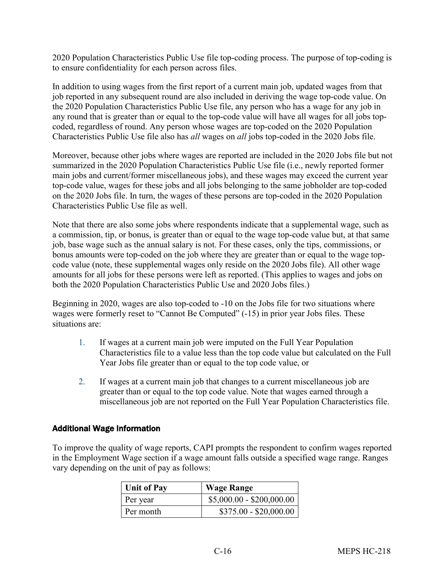2020 Population Characteristics Public Use file top-coding process. The purpose of top-coding is to ensure confidentiality for each person across files.

In addition to using wages from the first report of a current main job, updated wages from that job reported in any subsequent round are also included in deriving the wage top-code value. On the 2020 Population Characteristics Public Use file, any person who has a wage for any job in any round that is greater than or equal to the top-code value will have all wages for all jobs topcoded, regardless of round. Any person whose wages are top-coded on the 2020 Population Characteristics Public Use file also has *all* wages on *all* jobs top-coded in the 2020 Jobs file.

Moreover, because other jobs where wages are reported are included in the 2020 Jobs file but not summarized in the 2020 Population Characteristics Public Use file (i.e., newly reported former main jobs and current/former miscellaneous jobs), and these wages may exceed the current year top-code value, wages for these jobs and all jobs belonging to the same jobholder are top-coded on the 2020 Jobs file. In turn, the wages of these persons are top-coded in the 2020 Population Characteristics Public Use file as well.

Note that there are also some jobs where respondents indicate that a supplemental wage, such as a commission, tip, or bonus, is greater than or equal to the wage top-code value but, at that same job, base wage such as the annual salary is not. For these cases, only the tips, commissions, or bonus amounts were top-coded on the job where they are greater than or equal to the wage topcode value (note, these supplemental wages only reside on the 2020 Jobs file). All other wage amounts for all jobs for these persons were left as reported. (This applies to wages and jobs on both the 2020 Population Characteristics Public Use and 2020 Jobs files.)

Beginning in 2020, wages are also top-coded to -10 on the Jobs file for two situations where wages were formerly reset to "Cannot Be Computed" (-15) in prior year Jobs files. These situations are:

- 1. If wages at a current main job were imputed on the Full Year Population Characteristics file to a value less than the top code value but calculated on the Full Year Jobs file greater than or equal to the top code value, or
- 2. If wages at a current main job that changes to a current miscellaneous job are greater than or equal to the top code value. Note that wages earned through a miscellaneous job are not reported on the Full Year Population Characteristics file.

#### Additional Wage Information

To improve the quality of wage reports, CAPI prompts the respondent to confirm wages reported in the Employment Wage section if a wage amount falls outside a specified wage range. Ranges vary depending on the unit of pay as follows:

| <b>Unit of Pay</b> | <b>Wage Range</b>         |
|--------------------|---------------------------|
| Per year           | $$5,000.00 - $200,000.00$ |
| Per month          | $$375.00 - $20,000.00$    |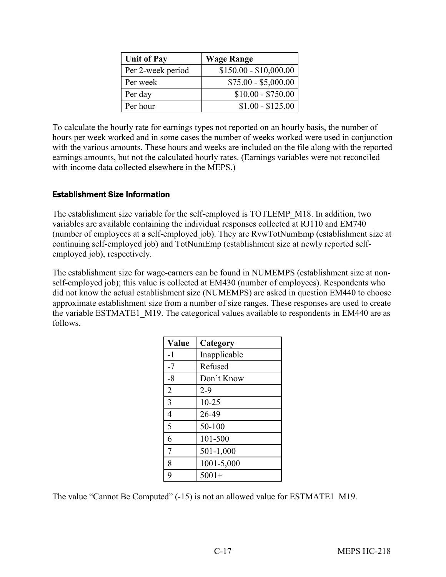| <b>Unit of Pay</b> | <b>Wage Range</b>      |
|--------------------|------------------------|
| Per 2-week period  | $$150.00 - $10,000.00$ |
| Per week           | $$75.00 - $5,000.00$   |
| Per day            | $$10.00 - $750.00$     |
| Per hour           | $$1.00 - $125.00$      |

To calculate the hourly rate for earnings types not reported on an hourly basis, the number of hours per week worked and in some cases the number of weeks worked were used in conjunction with the various amounts. These hours and weeks are included on the file along with the reported earnings amounts, but not the calculated hourly rates. (Earnings variables were not reconciled with income data collected elsewhere in the MEPS.)

#### Establishment Size Information

The establishment size variable for the self-employed is TOTLEMP\_M18. In addition, two variables are available containing the individual responses collected at RJ110 and EM740 (number of employees at a self-employed job). They are RvwTotNumEmp (establishment size at continuing self-employed job) and TotNumEmp (establishment size at newly reported selfemployed job), respectively.

The establishment size for wage-earners can be found in NUMEMPS (establishment size at nonself-employed job); this value is collected at EM430 (number of employees). Respondents who did not know the actual establishment size (NUMEMPS) are asked in question EM440 to choose approximate establishment size from a number of size ranges. These responses are used to create the variable ESTMATE1 M19. The categorical values available to respondents in EM440 are as follows.

| Value          | Category     |
|----------------|--------------|
| $-1$           | Inapplicable |
| $-7$           | Refused      |
| $-8$           | Don't Know   |
| $\overline{2}$ | $2 - 9$      |
| $\overline{3}$ | $10 - 25$    |
| $\overline{4}$ | 26-49        |
| 5              | 50-100       |
| 6              | 101-500      |
| $\overline{7}$ | 501-1,000    |
| 8              | 1001-5,000   |
| 9              | $5001+$      |

The value "Cannot Be Computed" (-15) is not an allowed value for ESTMATE1 M19.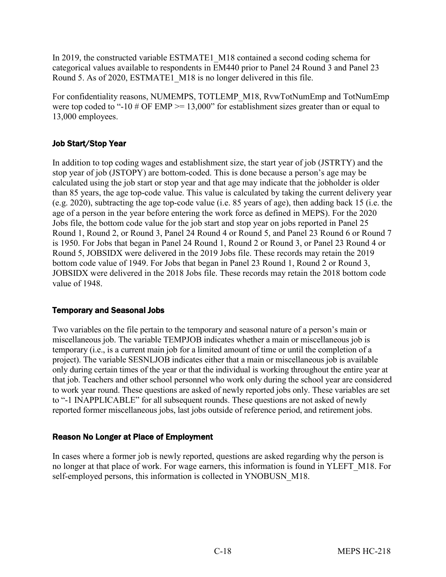In 2019, the constructed variable ESTMATE1\_M18 contained a second coding schema for categorical values available to respondents in EM440 prior to Panel 24 Round 3 and Panel 23 Round 5. As of 2020, ESTMATE1 M18 is no longer delivered in this file.

For confidentiality reasons, NUMEMPS, TOTLEMP\_M18, RvwTotNumEmp and TotNumEmp were top coded to "-10 # OF EMP  $> = 13,000$ " for establishment sizes greater than or equal to 13,000 employees.

### Job Start/Stop Year

In addition to top coding wages and establishment size, the start year of job (JSTRTY) and the stop year of job (JSTOPY) are bottom-coded. This is done because a person's age may be calculated using the job start or stop year and that age may indicate that the jobholder is older than 85 years, the age top-code value. This value is calculated by taking the current delivery year (e.g. 2020), subtracting the age top-code value (i.e. 85 years of age), then adding back 15 (i.e. the age of a person in the year before entering the work force as defined in MEPS). For the 2020 Jobs file, the bottom code value for the job start and stop year on jobs reported in Panel 25 Round 1, Round 2, or Round 3, Panel 24 Round 4 or Round 5, and Panel 23 Round 6 or Round 7 is 1950. For Jobs that began in Panel 24 Round 1, Round 2 or Round 3, or Panel 23 Round 4 or Round 5, JOBSIDX were delivered in the 2019 Jobs file. These records may retain the 2019 bottom code value of 1949. For Jobs that began in Panel 23 Round 1, Round 2 or Round 3, JOBSIDX were delivered in the 2018 Jobs file. These records may retain the 2018 bottom code value of 1948.

#### Temporary and Seasonal Jobs

Two variables on the file pertain to the temporary and seasonal nature of a person's main or miscellaneous job. The variable TEMPJOB indicates whether a main or miscellaneous job is temporary (i.e., is a current main job for a limited amount of time or until the completion of a project). The variable SESNLJOB indicates either that a main or miscellaneous job is available only during certain times of the year or that the individual is working throughout the entire year at that job. Teachers and other school personnel who work only during the school year are considered to work year round. These questions are asked of newly reported jobs only. These variables are set to "-1 INAPPLICABLE" for all subsequent rounds. These questions are not asked of newly reported former miscellaneous jobs, last jobs outside of reference period, and retirement jobs.

#### Reason No Longer at Place of Employment

In cases where a former job is newly reported, questions are asked regarding why the person is no longer at that place of work. For wage earners, this information is found in YLEFT\_M18. For self-employed persons, this information is collected in YNOBUSN M18.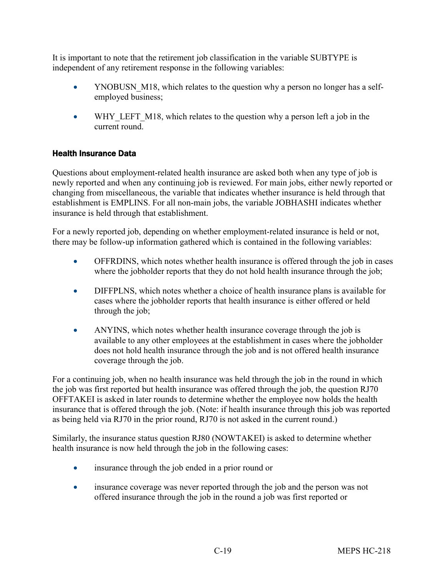It is important to note that the retirement job classification in the variable SUBTYPE is independent of any retirement response in the following variables:

- YNOBUSN M18, which relates to the question why a person no longer has a selfemployed business;
- WHY LEFT M18, which relates to the question why a person left a job in the current round.

### Health Insurance Data

Questions about employment-related health insurance are asked both when any type of job is newly reported and when any continuing job is reviewed. For main jobs, either newly reported or changing from miscellaneous, the variable that indicates whether insurance is held through that establishment is EMPLINS. For all non-main jobs, the variable JOBHASHI indicates whether insurance is held through that establishment.

For a newly reported job, depending on whether employment-related insurance is held or not, there may be follow-up information gathered which is contained in the following variables:

- OFFRDINS, which notes whether health insurance is offered through the job in cases where the jobholder reports that they do not hold health insurance through the job;
- DIFFPLNS, which notes whether a choice of health insurance plans is available for cases where the jobholder reports that health insurance is either offered or held through the job;
- ANYINS, which notes whether health insurance coverage through the job is available to any other employees at the establishment in cases where the jobholder does not hold health insurance through the job and is not offered health insurance coverage through the job.

For a continuing job, when no health insurance was held through the job in the round in which the job was first reported but health insurance was offered through the job, the question RJ70 OFFTAKEI is asked in later rounds to determine whether the employee now holds the health insurance that is offered through the job. (Note: if health insurance through this job was reported as being held via RJ70 in the prior round, RJ70 is not asked in the current round.)

Similarly, the insurance status question RJ80 (NOWTAKEI) is asked to determine whether health insurance is now held through the job in the following cases:

- insurance through the job ended in a prior round or
- insurance coverage was never reported through the job and the person was not offered insurance through the job in the round a job was first reported or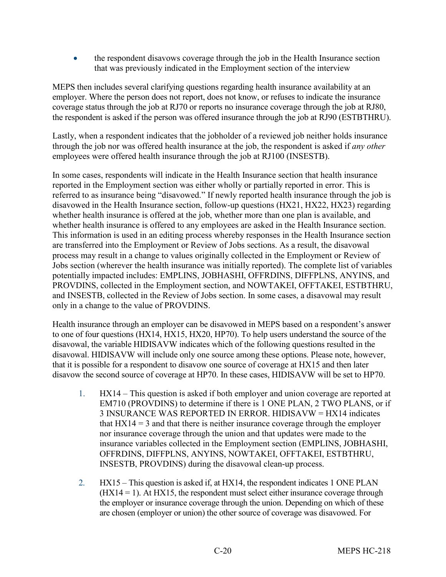• the respondent disavows coverage through the job in the Health Insurance section that was previously indicated in the Employment section of the interview

MEPS then includes several clarifying questions regarding health insurance availability at an employer. Where the person does not report, does not know, or refuses to indicate the insurance coverage status through the job at RJ70 or reports no insurance coverage through the job at RJ80, the respondent is asked if the person was offered insurance through the job at RJ90 (ESTBTHRU).

Lastly, when a respondent indicates that the jobholder of a reviewed job neither holds insurance through the job nor was offered health insurance at the job, the respondent is asked if *any other* employees were offered health insurance through the job at RJ100 (INSESTB).

In some cases, respondents will indicate in the Health Insurance section that health insurance reported in the Employment section was either wholly or partially reported in error. This is referred to as insurance being "disavowed." If newly reported health insurance through the job is disavowed in the Health Insurance section, follow-up questions (HX21, HX22, HX23) regarding whether health insurance is offered at the job, whether more than one plan is available, and whether health insurance is offered to any employees are asked in the Health Insurance section. This information is used in an editing process whereby responses in the Health Insurance section are transferred into the Employment or Review of Jobs sections. As a result, the disavowal process may result in a change to values originally collected in the Employment or Review of Jobs section (wherever the health insurance was initially reported). The complete list of variables potentially impacted includes: EMPLINS, JOBHASHI, OFFRDINS, DIFFPLNS, ANYINS, and PROVDINS, collected in the Employment section, and NOWTAKEI, OFFTAKEI, ESTBTHRU, and INSESTB, collected in the Review of Jobs section. In some cases, a disavowal may result only in a change to the value of PROVDINS.

Health insurance through an employer can be disavowed in MEPS based on a respondent's answer to one of four questions (HX14, HX15, HX20, HP70). To help users understand the source of the disavowal, the variable HIDISAVW indicates which of the following questions resulted in the disavowal. HIDISAVW will include only one source among these options. Please note, however, that it is possible for a respondent to disavow one source of coverage at HX15 and then later disavow the second source of coverage at HP70. In these cases, HIDISAVW will be set to HP70.

- 1. HX14 This question is asked if both employer and union coverage are reported at EM710 (PROVDINS) to determine if there is 1 ONE PLAN, 2 TWO PLANS, or if 3 INSURANCE WAS REPORTED IN ERROR. HIDISAVW = HX14 indicates that  $H<sub>X14</sub> = 3$  and that there is neither insurance coverage through the employer nor insurance coverage through the union and that updates were made to the insurance variables collected in the Employment section (EMPLINS, JOBHASHI, OFFRDINS, DIFFPLNS, ANYINS, NOWTAKEI, OFFTAKEI, ESTBTHRU, INSESTB, PROVDINS) during the disavowal clean-up process.
- 2. HX15 This question is asked if, at HX14, the respondent indicates 1 ONE PLAN  $(HX14 = 1)$ . At  $HX15$ , the respondent must select either insurance coverage through the employer or insurance coverage through the union. Depending on which of these are chosen (employer or union) the other source of coverage was disavowed. For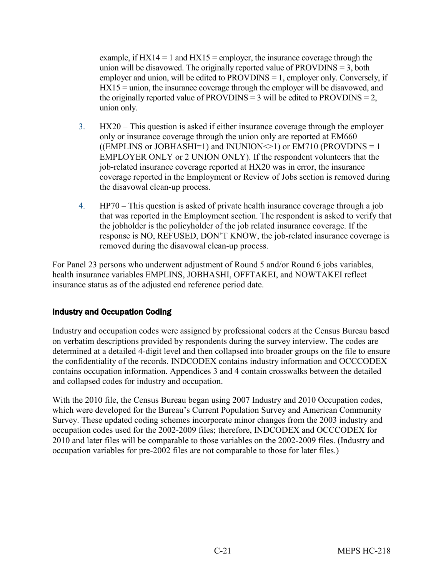example, if  $HX14 = 1$  and  $HX15 =$  employer, the insurance coverage through the union will be disavowed. The originally reported value of  $PROVDINS = 3$ , both employer and union, will be edited to  $PROV<sub>DINS</sub> = 1$ , employer only. Conversely, if HX15 = union, the insurance coverage through the employer will be disavowed, and the originally reported value of PROVDINS = 3 will be edited to PROVDINS = 2, union only.

- 3. HX20 This question is asked if either insurance coverage through the employer only or insurance coverage through the union only are reported at EM660 ((EMPLINS or JOBHASHI=1) and INUNION $\le$ 1) or EM710 (PROVDINS = 1) EMPLOYER ONLY or 2 UNION ONLY). If the respondent volunteers that the job-related insurance coverage reported at HX20 was in error, the insurance coverage reported in the Employment or Review of Jobs section is removed during the disavowal clean-up process.
- 4. HP70 This question is asked of private health insurance coverage through a job that was reported in the Employment section. The respondent is asked to verify that the jobholder is the policyholder of the job related insurance coverage. If the response is NO, REFUSED, DON'T KNOW, the job-related insurance coverage is removed during the disavowal clean-up process.

For Panel 23 persons who underwent adjustment of Round 5 and/or Round 6 jobs variables, health insurance variables EMPLINS, JOBHASHI, OFFTAKEI, and NOWTAKEI reflect insurance status as of the adjusted end reference period date.

### Industry and Occupation Coding

Industry and occupation codes were assigned by professional coders at the Census Bureau based on verbatim descriptions provided by respondents during the survey interview. The codes are determined at a detailed 4-digit level and then collapsed into broader groups on the file to ensure the confidentiality of the records. INDCODEX contains industry information and OCCCODEX contains occupation information. Appendices 3 and 4 contain crosswalks between the detailed and collapsed codes for industry and occupation.

With the 2010 file, the Census Bureau began using 2007 Industry and 2010 Occupation codes, which were developed for the Bureau's Current Population Survey and American Community Survey. These updated coding schemes incorporate minor changes from the 2003 industry and occupation codes used for the 2002-2009 files; therefore, INDCODEX and OCCCODEX for 2010 and later files will be comparable to those variables on the 2002-2009 files. (Industry and occupation variables for pre-2002 files are not comparable to those for later files.)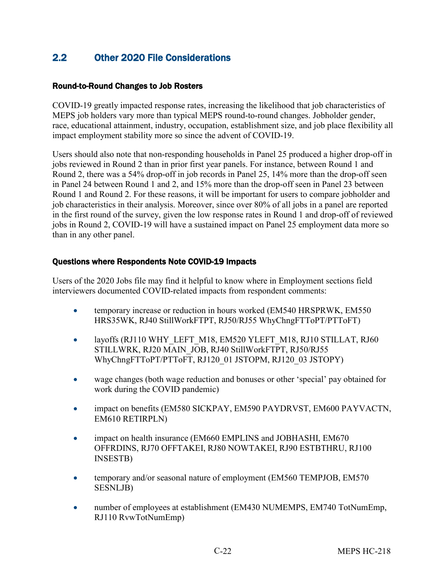## <span id="page-27-0"></span>2.2 Other 2020 File Considerations

#### Round-to-Round Changes to Job Rosters

COVID-19 greatly impacted response rates, increasing the likelihood that job characteristics of MEPS job holders vary more than typical MEPS round-to-round changes. Jobholder gender, race, educational attainment, industry, occupation, establishment size, and job place flexibility all impact employment stability more so since the advent of COVID-19.

Users should also note that non-responding households in Panel 25 produced a higher drop-off in jobs reviewed in Round 2 than in prior first year panels. For instance, between Round 1 and Round 2, there was a 54% drop-off in job records in Panel 25, 14% more than the drop-off seen in Panel 24 between Round 1 and 2, and 15% more than the drop-off seen in Panel 23 between Round 1 and Round 2. For these reasons, it will be important for users to compare jobholder and job characteristics in their analysis. Moreover, since over 80% of all jobs in a panel are reported in the first round of the survey, given the low response rates in Round 1 and drop-off of reviewed jobs in Round 2, COVID-19 will have a sustained impact on Panel 25 employment data more so than in any other panel.

#### Questions where Respondents Note COVID-19 Impacts

Users of the 2020 Jobs file may find it helpful to know where in Employment sections field interviewers documented COVID-related impacts from respondent comments:

- temporary increase or reduction in hours worked (EM540 HRSPRWK, EM550) HRS35WK, RJ40 StillWorkFTPT, RJ50/RJ55 WhyChngFTToPT/PTToFT)
- layoffs (RJ110 WHY\_LEFT\_M18, EM520 YLEFT\_M18, RJ10 STILLAT, RJ60 STILLWRK, RJ20 MAIN\_JOB, RJ40 StillWorkFTPT, RJ50/RJ55 WhyChngFTToPT/PTToFT, RJ120\_01 JSTOPM, RJ120\_03 JSTOPY)
- wage changes (both wage reduction and bonuses or other 'special' pay obtained for work during the COVID pandemic)
- impact on benefits (EM580 SICKPAY, EM590 PAYDRVST, EM600 PAYVACTN, EM610 RETIRPLN)
- impact on health insurance (EM660 EMPLINS and JOBHASHI, EM670 OFFRDINS, RJ70 OFFTAKEI, RJ80 NOWTAKEI, RJ90 ESTBTHRU, RJ100 INSESTB)
- temporary and/or seasonal nature of employment (EM560 TEMPJOB, EM570) SESNLJB)
- number of employees at establishment (EM430 NUMEMPS, EM740 TotNumEmp, RJ110 RvwTotNumEmp)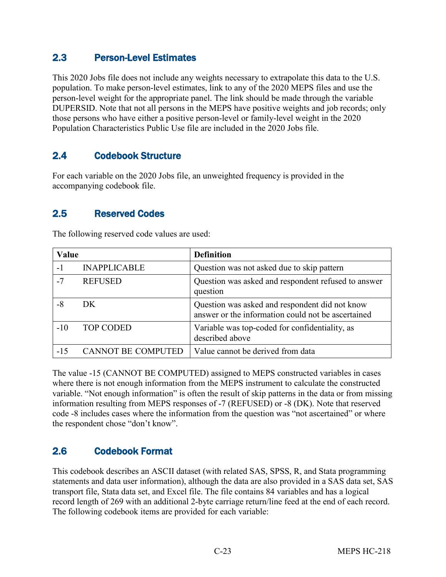## <span id="page-28-0"></span>2.3 Person-Level Estimates

This 2020 Jobs file does not include any weights necessary to extrapolate this data to the U.S. population. To make person-level estimates, link to any of the 2020 MEPS files and use the person-level weight for the appropriate panel. The link should be made through the variable DUPERSID. Note that not all persons in the MEPS have positive weights and job records; only those persons who have either a positive person-level or family-level weight in the 2020 Population Characteristics Public Use file are included in the 2020 Jobs file.

## <span id="page-28-1"></span>2.4 Codebook Structure

For each variable on the 2020 Jobs file, an unweighted frequency is provided in the accompanying codebook file.

## <span id="page-28-2"></span>2.5 Reserved Codes

| Value |                           | <b>Definition</b>                                                                                    |
|-------|---------------------------|------------------------------------------------------------------------------------------------------|
| $-1$  | <b>INAPPLICABLE</b>       | Question was not asked due to skip pattern                                                           |
| $-7$  | <b>REFUSED</b>            | Question was asked and respondent refused to answer<br>question                                      |
| $-8$  | DK                        | Question was asked and respondent did not know<br>answer or the information could not be ascertained |
| $-10$ | <b>TOP CODED</b>          | Variable was top-coded for confidentiality, as<br>described above                                    |
| $-15$ | <b>CANNOT BE COMPUTED</b> | Value cannot be derived from data                                                                    |

The following reserved code values are used:

The value -15 (CANNOT BE COMPUTED) assigned to MEPS constructed variables in cases where there is not enough information from the MEPS instrument to calculate the constructed variable. "Not enough information" is often the result of skip patterns in the data or from missing information resulting from MEPS responses of -7 (REFUSED) or -8 (DK). Note that reserved code -8 includes cases where the information from the question was "not ascertained" or where the respondent chose "don't know".

## <span id="page-28-3"></span>2.6 Codebook Format

This codebook describes an ASCII dataset (with related SAS, SPSS, R, and Stata programming statements and data user information), although the data are also provided in a SAS data set, SAS transport file, Stata data set, and Excel file. The file contains 84 variables and has a logical record length of 269 with an additional 2-byte carriage return/line feed at the end of each record. The following codebook items are provided for each variable: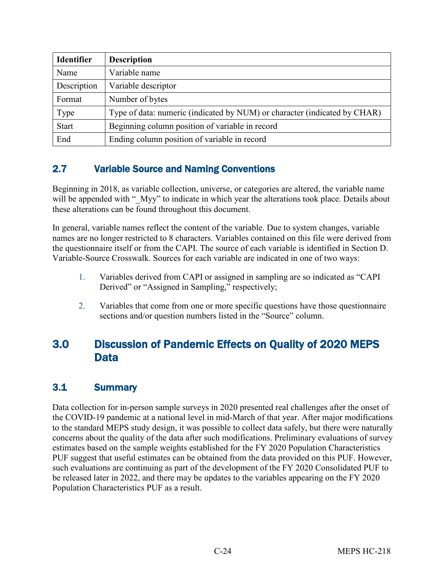| <b>Identifier</b> | <b>Description</b>                                                        |
|-------------------|---------------------------------------------------------------------------|
| Name              | Variable name                                                             |
| Description       | Variable descriptor                                                       |
| Format            | Number of bytes                                                           |
| Type              | Type of data: numeric (indicated by NUM) or character (indicated by CHAR) |
| <b>Start</b>      | Beginning column position of variable in record                           |
| End               | Ending column position of variable in record                              |

## <span id="page-29-1"></span>2.7 Variable Source and Naming Conventions

Beginning in 2018, as variable collection, universe, or categories are altered, the variable name will be appended with " Myy" to indicate in which year the alterations took place. Details about these alterations can be found throughout this document.

In general, variable names reflect the content of the variable. Due to system changes, variable names are no longer restricted to 8 characters. Variables contained on this file were derived from the questionnaire itself or from the CAPI. The source of each variable is identified in Section D. Variable-Source Crosswalk. Sources for each variable are indicated in one of two ways:

- 1. Variables derived from CAPI or assigned in sampling are so indicated as "CAPI Derived" or "Assigned in Sampling," respectively;
- 2. Variables that come from one or more specific questions have those questionnaire sections and/or question numbers listed in the "Source" column.

## <span id="page-29-0"></span>3.0 Discussion of Pandemic Effects on Quality of 2020 MEPS **Data**

## <span id="page-29-2"></span>3.1 Summary

Data collection for in-person sample surveys in 2020 presented real challenges after the onset of the COVID-19 pandemic at a national level in mid-March of that year. After major modifications to the standard MEPS study design, it was possible to collect data safely, but there were naturally concerns about the quality of the data after such modifications. Preliminary evaluations of survey estimates based on the sample weights established for the FY 2020 Population Characteristics PUF suggest that useful estimates can be obtained from the data provided on this PUF. However, such evaluations are continuing as part of the development of the FY 2020 Consolidated PUF to be released later in 2022, and there may be updates to the variables appearing on the FY 2020 Population Characteristics PUF as a result.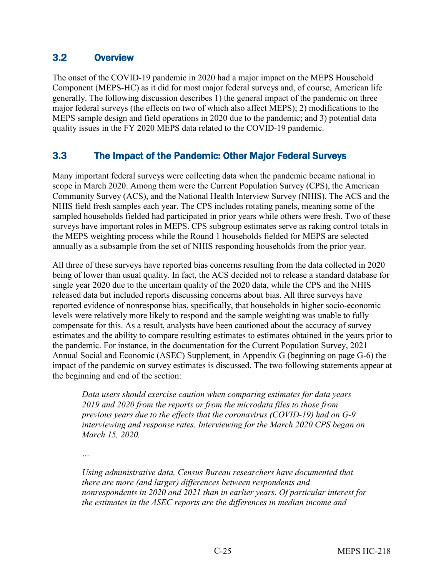## <span id="page-30-1"></span>3.2 Overview

The onset of the COVID-19 pandemic in 2020 had a major impact on the MEPS Household Component (MEPS-HC) as it did for most major federal surveys and, of course, American life generally. The following discussion describes 1) the general impact of the pandemic on three major federal surveys (the effects on two of which also affect MEPS); 2) modifications to the MEPS sample design and field operations in 2020 due to the pandemic; and 3) potential data quality issues in the FY 2020 MEPS data related to the COVID-19 pandemic.

## <span id="page-30-0"></span>3.3 The Impact of the Pandemic: Other Major Federal Surveys

Many important federal surveys were collecting data when the pandemic became national in scope in March 2020. Among them were the Current Population Survey (CPS), the American Community Survey (ACS), and the National Health Interview Survey (NHIS). The ACS and the NHIS field fresh samples each year. The CPS includes rotating panels, meaning some of the sampled households fielded had participated in prior years while others were fresh. Two of these surveys have important roles in MEPS. CPS subgroup estimates serve as raking control totals in the MEPS weighting process while the Round 1 households fielded for MEPS are selected annually as a subsample from the set of NHIS responding households from the prior year.

All three of these surveys have reported bias concerns resulting from the data collected in 2020 being of lower than usual quality. In fact, the ACS decided not to release a standard database for single year 2020 due to the uncertain quality of the 2020 data, while the CPS and the NHIS released data but included reports discussing concerns about bias. All three surveys have reported evidence of nonresponse bias, specifically, that households in higher socio-economic levels were relatively more likely to respond and the sample weighting was unable to fully compensate for this. As a result, analysts have been cautioned about the accuracy of survey estimates and the ability to compare resulting estimates to estimates obtained in the years prior to the pandemic. For instance, in the documentation for the Current Population Survey, 2021 Annual Social and Economic (ASEC) Supplement, in Appendix G (beginning on page G-6) the impact of the pandemic on survey estimates is discussed. The two following statements appear at the beginning and end of the section:

*Data users should exercise caution when comparing estimates for data years 2019 and 2020 from the reports or from the microdata files to those from previous years due to the effects that the coronavirus (COVID-19) had on G-9 interviewing and response rates. Interviewing for the March 2020 CPS began on March 15, 2020.* 

*…* 

*Using administrative data, Census Bureau researchers have documented that there are more (and larger) differences between respondents and nonrespondents in 2020 and 2021 than in earlier years. Of particular interest for the estimates in the ASEC reports are the differences in median income and*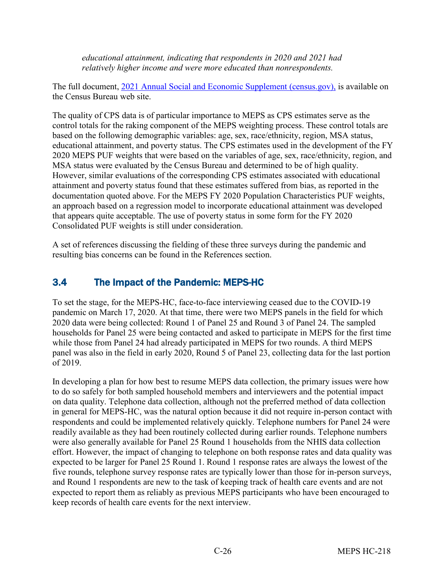*educational attainment, indicating that respondents in 2020 and 2021 had relatively higher income and were more educated than nonrespondents.* 

The full document, [2021 Annual Social and Economic Supplement \(census.gov\)](https://www2.census.gov/programs-surveys/cps/techdocs/cpsmar21.pdf), is available on the Census Bureau web site.

The quality of CPS data is of particular importance to MEPS as CPS estimates serve as the control totals for the raking component of the MEPS weighting process. These control totals are based on the following demographic variables: age, sex, race/ethnicity, region, MSA status, educational attainment, and poverty status. The CPS estimates used in the development of the FY 2020 MEPS PUF weights that were based on the variables of age, sex, race/ethnicity, region, and MSA status were evaluated by the Census Bureau and determined to be of high quality. However, similar evaluations of the corresponding CPS estimates associated with educational attainment and poverty status found that these estimates suffered from bias, as reported in the documentation quoted above. For the MEPS FY 2020 Population Characteristics PUF weights, an approach based on a regression model to incorporate educational attainment was developed that appears quite acceptable. The use of poverty status in some form for the FY 2020 Consolidated PUF weights is still under consideration.

A set of references discussing the fielding of these three surveys during the pandemic and resulting bias concerns can be found in the References section.

## <span id="page-31-0"></span>3.4 The Impact of the Pandemic: MEPS-HC

To set the stage, for the MEPS-HC, face-to-face interviewing ceased due to the COVID-19 pandemic on March 17, 2020. At that time, there were two MEPS panels in the field for which 2020 data were being collected: Round 1 of Panel 25 and Round 3 of Panel 24. The sampled households for Panel 25 were being contacted and asked to participate in MEPS for the first time while those from Panel 24 had already participated in MEPS for two rounds. A third MEPS panel was also in the field in early 2020, Round 5 of Panel 23, collecting data for the last portion of 2019.

In developing a plan for how best to resume MEPS data collection, the primary issues were how to do so safely for both sampled household members and interviewers and the potential impact on data quality. Telephone data collection, although not the preferred method of data collection in general for MEPS-HC, was the natural option because it did not require in-person contact with respondents and could be implemented relatively quickly. Telephone numbers for Panel 24 were readily available as they had been routinely collected during earlier rounds. Telephone numbers were also generally available for Panel 25 Round 1 households from the NHIS data collection effort. However, the impact of changing to telephone on both response rates and data quality was expected to be larger for Panel 25 Round 1. Round 1 response rates are always the lowest of the five rounds, telephone survey response rates are typically lower than those for in-person surveys, and Round 1 respondents are new to the task of keeping track of health care events and are not expected to report them as reliably as previous MEPS participants who have been encouraged to keep records of health care events for the next interview.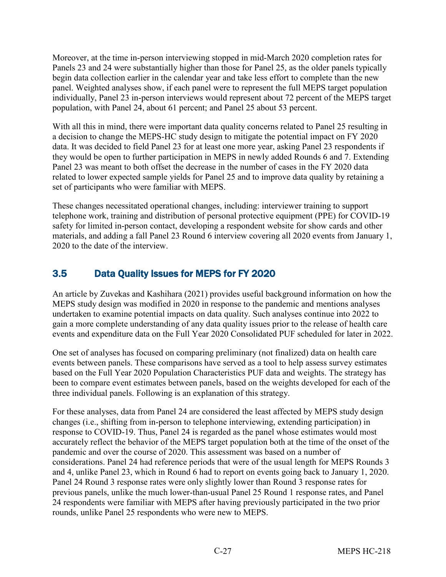Moreover, at the time in-person interviewing stopped in mid-March 2020 completion rates for Panels 23 and 24 were substantially higher than those for Panel 25, as the older panels typically begin data collection earlier in the calendar year and take less effort to complete than the new panel. Weighted analyses show, if each panel were to represent the full MEPS target population individually, Panel 23 in-person interviews would represent about 72 percent of the MEPS target population, with Panel 24, about 61 percent; and Panel 25 about 53 percent.

With all this in mind, there were important data quality concerns related to Panel 25 resulting in a decision to change the MEPS-HC study design to mitigate the potential impact on FY 2020 data. It was decided to field Panel 23 for at least one more year, asking Panel 23 respondents if they would be open to further participation in MEPS in newly added Rounds 6 and 7. Extending Panel 23 was meant to both offset the decrease in the number of cases in the FY 2020 data related to lower expected sample yields for Panel 25 and to improve data quality by retaining a set of participants who were familiar with MEPS.

These changes necessitated operational changes, including: interviewer training to support telephone work, training and distribution of personal protective equipment (PPE) for COVID-19 safety for limited in-person contact, developing a respondent website for show cards and other materials, and adding a fall Panel 23 Round 6 interview covering all 2020 events from January 1, 2020 to the date of the interview.

## <span id="page-32-0"></span>3.5 Data Quality Issues for MEPS for FY 2020

An article by Zuvekas and Kashihara (2021) provides useful background information on how the MEPS study design was modified in 2020 in response to the pandemic and mentions analyses undertaken to examine potential impacts on data quality. Such analyses continue into 2022 to gain a more complete understanding of any data quality issues prior to the release of health care events and expenditure data on the Full Year 2020 Consolidated PUF scheduled for later in 2022.

One set of analyses has focused on comparing preliminary (not finalized) data on health care events between panels. These comparisons have served as a tool to help assess survey estimates based on the Full Year 2020 Population Characteristics PUF data and weights. The strategy has been to compare event estimates between panels, based on the weights developed for each of the three individual panels. Following is an explanation of this strategy.

For these analyses, data from Panel 24 are considered the least affected by MEPS study design changes (i.e., shifting from in-person to telephone interviewing, extending participation) in response to COVID-19. Thus, Panel 24 is regarded as the panel whose estimates would most accurately reflect the behavior of the MEPS target population both at the time of the onset of the pandemic and over the course of 2020. This assessment was based on a number of considerations. Panel 24 had reference periods that were of the usual length for MEPS Rounds 3 and 4, unlike Panel 23, which in Round 6 had to report on events going back to January 1, 2020. Panel 24 Round 3 response rates were only slightly lower than Round 3 response rates for previous panels, unlike the much lower-than-usual Panel 25 Round 1 response rates, and Panel 24 respondents were familiar with MEPS after having previously participated in the two prior rounds, unlike Panel 25 respondents who were new to MEPS.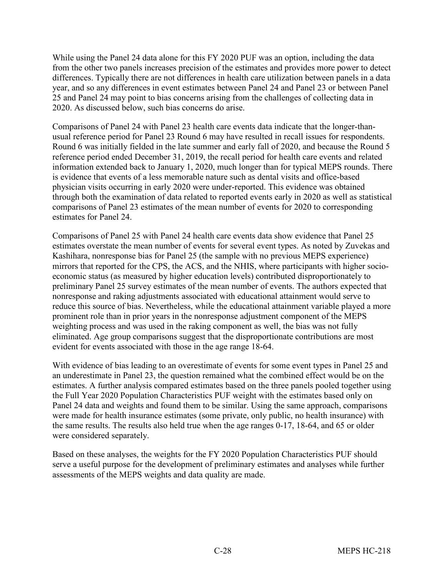While using the Panel 24 data alone for this FY 2020 PUF was an option, including the data from the other two panels increases precision of the estimates and provides more power to detect differences. Typically there are not differences in health care utilization between panels in a data year, and so any differences in event estimates between Panel 24 and Panel 23 or between Panel 25 and Panel 24 may point to bias concerns arising from the challenges of collecting data in 2020. As discussed below, such bias concerns do arise.

Comparisons of Panel 24 with Panel 23 health care events data indicate that the longer-thanusual reference period for Panel 23 Round 6 may have resulted in recall issues for respondents. Round 6 was initially fielded in the late summer and early fall of 2020, and because the Round 5 reference period ended December 31, 2019, the recall period for health care events and related information extended back to January 1, 2020, much longer than for typical MEPS rounds. There is evidence that events of a less memorable nature such as dental visits and office-based physician visits occurring in early 2020 were under-reported. This evidence was obtained through both the examination of data related to reported events early in 2020 as well as statistical comparisons of Panel 23 estimates of the mean number of events for 2020 to corresponding estimates for Panel 24.

Comparisons of Panel 25 with Panel 24 health care events data show evidence that Panel 25 estimates overstate the mean number of events for several event types. As noted by Zuvekas and Kashihara, nonresponse bias for Panel 25 (the sample with no previous MEPS experience) mirrors that reported for the CPS, the ACS, and the NHIS, where participants with higher socioeconomic status (as measured by higher education levels) contributed disproportionately to preliminary Panel 25 survey estimates of the mean number of events. The authors expected that nonresponse and raking adjustments associated with educational attainment would serve to reduce this source of bias. Nevertheless, while the educational attainment variable played a more prominent role than in prior years in the nonresponse adjustment component of the MEPS weighting process and was used in the raking component as well, the bias was not fully eliminated. Age group comparisons suggest that the disproportionate contributions are most evident for events associated with those in the age range 18-64.

With evidence of bias leading to an overestimate of events for some event types in Panel 25 and an underestimate in Panel 23, the question remained what the combined effect would be on the estimates. A further analysis compared estimates based on the three panels pooled together using the Full Year 2020 Population Characteristics PUF weight with the estimates based only on Panel 24 data and weights and found them to be similar. Using the same approach, comparisons were made for health insurance estimates (some private, only public, no health insurance) with the same results. The results also held true when the age ranges 0-17, 18-64, and 65 or older were considered separately.

Based on these analyses, the weights for the FY 2020 Population Characteristics PUF should serve a useful purpose for the development of preliminary estimates and analyses while further assessments of the MEPS weights and data quality are made.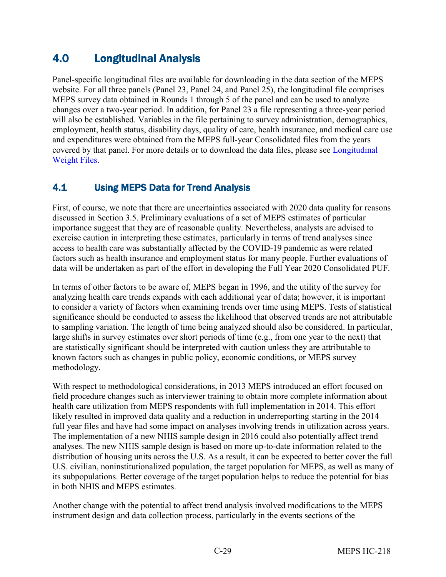# <span id="page-34-0"></span>4.0 Longitudinal Analysis

Panel-specific longitudinal files are available for downloading in the data section of the MEPS website. For all three panels (Panel 23, Panel 24, and Panel 25), the longitudinal file comprises MEPS survey data obtained in Rounds 1 through 5 of the panel and can be used to analyze changes over a two-year period. In addition, for Panel 23 a file representing a three-year period will also be established. Variables in the file pertaining to survey administration, demographics, employment, health status, disability days, quality of care, health insurance, and medical care use and expenditures were obtained from the MEPS full-year Consolidated files from the years covered by that panel. For more details or to download the data files, please see Longitudinal [Weight Files.](https://meps.ahrq.gov/mepsweb/data_stats/more_info_download_data_files.jsp)

## <span id="page-34-1"></span>4.1 Using MEPS Data for Trend Analysis

First, of course, we note that there are uncertainties associated with 2020 data quality for reasons discussed in Section 3.5. Preliminary evaluations of a set of MEPS estimates of particular importance suggest that they are of reasonable quality. Nevertheless, analysts are advised to exercise caution in interpreting these estimates, particularly in terms of trend analyses since access to health care was substantially affected by the COVID-19 pandemic as were related factors such as health insurance and employment status for many people. Further evaluations of data will be undertaken as part of the effort in developing the Full Year 2020 Consolidated PUF.

In terms of other factors to be aware of, MEPS began in 1996, and the utility of the survey for analyzing health care trends expands with each additional year of data; however, it is important to consider a variety of factors when examining trends over time using MEPS. Tests of statistical significance should be conducted to assess the likelihood that observed trends are not attributable to sampling variation. The length of time being analyzed should also be considered. In particular, large shifts in survey estimates over short periods of time (e.g., from one year to the next) that are statistically significant should be interpreted with caution unless they are attributable to known factors such as changes in public policy, economic conditions, or MEPS survey methodology.

With respect to methodological considerations, in 2013 MEPS introduced an effort focused on field procedure changes such as interviewer training to obtain more complete information about health care utilization from MEPS respondents with full implementation in 2014. This effort likely resulted in improved data quality and a reduction in underreporting starting in the 2014 full year files and have had some impact on analyses involving trends in utilization across years. The implementation of a new NHIS sample design in 2016 could also potentially affect trend analyses. The new NHIS sample design is based on more up-to-date information related to the distribution of housing units across the U.S. As a result, it can be expected to better cover the full U.S. civilian, noninstitutionalized population, the target population for MEPS, as well as many of its subpopulations. Better coverage of the target population helps to reduce the potential for bias in both NHIS and MEPS estimates.

Another change with the potential to affect trend analysis involved modifications to the MEPS instrument design and data collection process, particularly in the events sections of the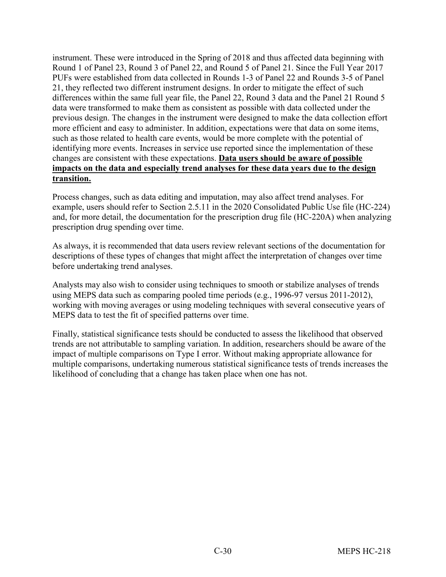instrument. These were introduced in the Spring of 2018 and thus affected data beginning with Round 1 of Panel 23, Round 3 of Panel 22, and Round 5 of Panel 21. Since the Full Year 2017 PUFs were established from data collected in Rounds 1-3 of Panel 22 and Rounds 3-5 of Panel 21, they reflected two different instrument designs. In order to mitigate the effect of such differences within the same full year file, the Panel 22, Round 3 data and the Panel 21 Round 5 data were transformed to make them as consistent as possible with data collected under the previous design. The changes in the instrument were designed to make the data collection effort more efficient and easy to administer. In addition, expectations were that data on some items, such as those related to health care events, would be more complete with the potential of identifying more events. Increases in service use reported since the implementation of these changes are consistent with these expectations. **Data users should be aware of possible impacts on the data and especially trend analyses for these data years due to the design transition.**

Process changes, such as data editing and imputation, may also affect trend analyses. For example, users should refer to Section 2.5.11 in the 2020 Consolidated Public Use file (HC-224) and, for more detail, the documentation for the prescription drug file (HC-220A) when analyzing prescription drug spending over time.

As always, it is recommended that data users review relevant sections of the documentation for descriptions of these types of changes that might affect the interpretation of changes over time before undertaking trend analyses.

Analysts may also wish to consider using techniques to smooth or stabilize analyses of trends using MEPS data such as comparing pooled time periods (e.g., 1996-97 versus 2011-2012), working with moving averages or using modeling techniques with several consecutive years of MEPS data to test the fit of specified patterns over time.

Finally, statistical significance tests should be conducted to assess the likelihood that observed trends are not attributable to sampling variation. In addition, researchers should be aware of the impact of multiple comparisons on Type I error. Without making appropriate allowance for multiple comparisons, undertaking numerous statistical significance tests of trends increases the likelihood of concluding that a change has taken place when one has not.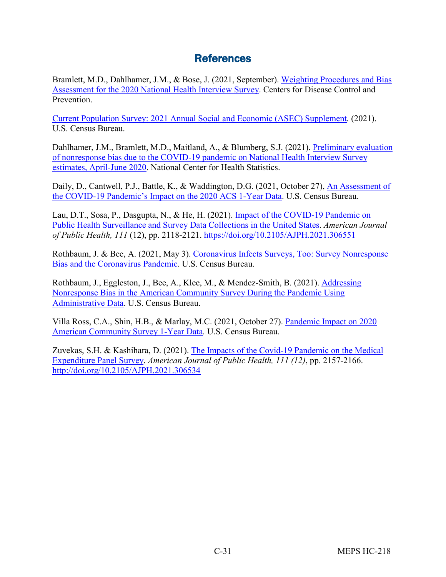## **References**

<span id="page-36-0"></span>Bramlett, M.D., Dahlhamer, J.M., & Bose, J. (2021, September). [Weighting Procedures and Bias](https://ftp.cdc.gov/pub/Health_Statistics/NCHS/Dataset_Documentation/NHIS/2020/nonresponse-report-508.pdf)  [Assessment for the 2020 National Health Interview Survey.](https://ftp.cdc.gov/pub/Health_Statistics/NCHS/Dataset_Documentation/NHIS/2020/nonresponse-report-508.pdf) Centers for Disease Control and Prevention.

[Current Population Survey: 2021 Annual Social and Economic \(ASEC\) Supplement](https://www2.census.gov/programs-surveys/cps/techdocs/cpsmar21.pdf)*.* (2021). U.S. Census Bureau.

Dahlhamer, J.M., Bramlett, M.D., Maitland, A., & Blumberg, S.J. (2021). [Preliminary evaluation](https://www.cdc.gov/nchs/data/nhis/earlyrelease/nonresponse202102-508.pdf)  [of nonresponse bias due to the COVID-19 pandemic on National Health Interview Survey](https://www.cdc.gov/nchs/data/nhis/earlyrelease/nonresponse202102-508.pdf) [estimates, April-June 2020](https://www.cdc.gov/nchs/data/nhis/earlyrelease/nonresponse202102-508.pdf). National Center for Health Statistics.

Daily, D., Cantwell, P.J., Battle, K., & Waddington, D.G. (2021, October 27), [An Assessment of](https://www.census.gov/content/dam/Census/library/working-papers/2021/acs/2021_CensusBureau_01.pdf.)  [the COVID-19 Pandemic's Impact on the 2020 ACS 1-Year Data](https://www.census.gov/content/dam/Census/library/working-papers/2021/acs/2021_CensusBureau_01.pdf.). U.S. Census Bureau.

Lau, D.T., Sosa, P., Dasgupta, N., & He, H. (2021). [Impact of the COVID-19 Pandemic on](https://doi.org/10.2105/AJPH.2021.306551) [Public Health Surveillance and Survey Data Collections in the United States.](https://doi.org/10.2105/AJPH.2021.306551) *American Journal of Public Health, 111* (12), pp. 2118-2121.<https://doi.org/10.2105/AJPH.2021.306551>

Rothbaum, J. & Bee, A. (2021, May 3). [Coronavirus Infects Surveys, Too: Survey Nonresponse](https://www.census.gov/content/dam/Census/library/working-papers/2020/demo/sehsd-wp2020-10.pdf.) [Bias and the Coronavirus Pandemic.](https://www.census.gov/content/dam/Census/library/working-papers/2020/demo/sehsd-wp2020-10.pdf.) U.S. Census Bureau.

Rothbaum, J., Eggleston, J., Bee, A., Klee, M., & Mendez-Smith, B. (2021). [Addressing](https://www.census.gov/content/dam/Census/library/working-papers/2021/acs/2021_Rothbaum_01.pdf.) [Nonresponse Bias in the American Community Survey During the Pandemic Using](https://www.census.gov/content/dam/Census/library/working-papers/2021/acs/2021_Rothbaum_01.pdf.) [Administrative Data.](https://www.census.gov/content/dam/Census/library/working-papers/2021/acs/2021_Rothbaum_01.pdf.) U.S. Census Bureau.

Villa Ross, C.A., Shin, H.B., & Marlay, M.C. (2021, October 27). [Pandemic Impact on 2020](https://www.census.gov/newsroom/blogs/random-samplings/2021/10/pandemic-impact-on-2020-acs-1-year-data.html) [American Community Survey 1-Year Data](https://www.census.gov/newsroom/blogs/random-samplings/2021/10/pandemic-impact-on-2020-acs-1-year-data.html)*.* U.S. Census Bureau.

Zuvekas, S.H. & Kashihara, D. (2021). [The Impacts of the Covid-19 Pandemic on the Medical](http://doi.org/10.2105/AJPH.2021.306534) [Expenditure Panel Survey](http://doi.org/10.2105/AJPH.2021.306534). *American Journal of Public Health, 111 (12)*, pp. 2157-2166. <http://doi.org/10.2105/AJPH.2021.306534>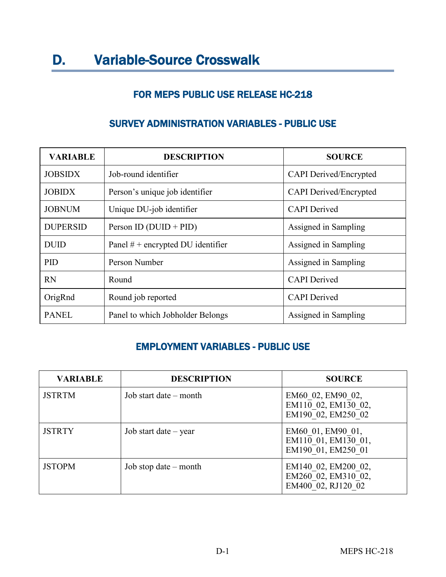## FOR MEPS PUBLIC USE RELEASE HC-218

| <b>VARIABLE</b> | <b>DESCRIPTION</b>                  | <b>SOURCE</b>                 |
|-----------------|-------------------------------------|-------------------------------|
| <b>JOBSIDX</b>  | Job-round identifier                | <b>CAPI</b> Derived/Encrypted |
| <b>JOBIDX</b>   | Person's unique job identifier      | <b>CAPI</b> Derived/Encrypted |
| <b>JOBNUM</b>   | Unique DU-job identifier            | <b>CAPI</b> Derived           |
| <b>DUPERSID</b> | Person ID $(DUID + PID)$            | Assigned in Sampling          |
| <b>DUID</b>     | Panel $#$ + encrypted DU identifier | Assigned in Sampling          |
| <b>PID</b>      | Person Number                       | Assigned in Sampling          |
| <b>RN</b>       | Round                               | <b>CAPI</b> Derived           |
| OrigRnd         | Round job reported                  | <b>CAPI</b> Derived           |
| <b>PANEL</b>    | Panel to which Jobholder Belongs    | Assigned in Sampling          |

## <span id="page-37-0"></span>SURVEY ADMINISTRATION VARIABLES - PUBLIC USE

## EMPLOYMENT VARIABLES - PUBLIC USE

| <b>VARIABLE</b> | <b>DESCRIPTION</b>      | <b>SOURCE</b>                                                    |
|-----------------|-------------------------|------------------------------------------------------------------|
| <b>JSTRTM</b>   | Job start date – month  | EM60 02, EM90 02,<br>EM110 02, EM130 02,<br>EM190 02, EM250 02   |
| <b>JSTRTY</b>   | Job start date $-$ year | EM60 01, EM90 01,<br>EM110 01, EM130 01,<br>EM190 01, EM250 01   |
| <b>JSTOPM</b>   | Job stop date $-$ month | EM140 02, EM200 02,<br>EM260 02, EM310 02,<br>EM400 02, RJ120 02 |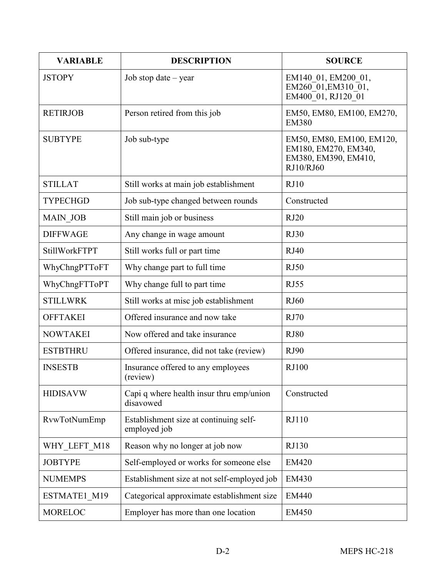| <b>VARIABLE</b>      | <b>DESCRIPTION</b>                                     | <b>SOURCE</b>                                                                          |
|----------------------|--------------------------------------------------------|----------------------------------------------------------------------------------------|
| <b>JSTOPY</b>        | Job stop date $-$ year                                 | EM140 01, EM200 01,<br>EM260 01, EM310 01,<br>EM400 01, RJ120 01                       |
| <b>RETIRJOB</b>      | Person retired from this job                           | EM50, EM80, EM100, EM270,<br><b>EM380</b>                                              |
| <b>SUBTYPE</b>       | Job sub-type                                           | EM50, EM80, EM100, EM120,<br>EM180, EM270, EM340,<br>EM380, EM390, EM410,<br>RJ10/RJ60 |
| <b>STILLAT</b>       | Still works at main job establishment                  | RJ10                                                                                   |
| <b>TYPECHGD</b>      | Job sub-type changed between rounds                    | Constructed                                                                            |
| <b>MAIN JOB</b>      | Still main job or business                             | RJ20                                                                                   |
| <b>DIFFWAGE</b>      | Any change in wage amount                              | RJ30                                                                                   |
| <b>StillWorkFTPT</b> | Still works full or part time                          | RJ40                                                                                   |
| WhyChngPTToFT        | Why change part to full time                           | RJ50                                                                                   |
| WhyChngFTToPT        | Why change full to part time                           | RJ55                                                                                   |
| <b>STILLWRK</b>      | Still works at misc job establishment                  | RJ60                                                                                   |
| <b>OFFTAKEI</b>      | Offered insurance and now take                         | RJ70                                                                                   |
| <b>NOWTAKEI</b>      | Now offered and take insurance                         | <b>RJ80</b>                                                                            |
| <b>ESTBTHRU</b>      | Offered insurance, did not take (review)               | RJ90                                                                                   |
| <b>INSESTB</b>       | Insurance offered to any employees<br>(review)         | <b>RJ100</b>                                                                           |
| <b>HIDISAVW</b>      | Capi q where health insur thru emp/union<br>disavowed  | Constructed                                                                            |
| RvwTotNumEmp         | Establishment size at continuing self-<br>employed job | RJ110                                                                                  |
| WHY_LEFT_M18         | Reason why no longer at job now                        | RJ130                                                                                  |
| <b>JOBTYPE</b>       | Self-employed or works for someone else                | <b>EM420</b>                                                                           |
| <b>NUMEMPS</b>       | Establishment size at not self-employed job            | <b>EM430</b>                                                                           |
| ESTMATE1 M19         | Categorical approximate establishment size             | <b>EM440</b>                                                                           |
| <b>MORELOC</b>       | Employer has more than one location                    | <b>EM450</b>                                                                           |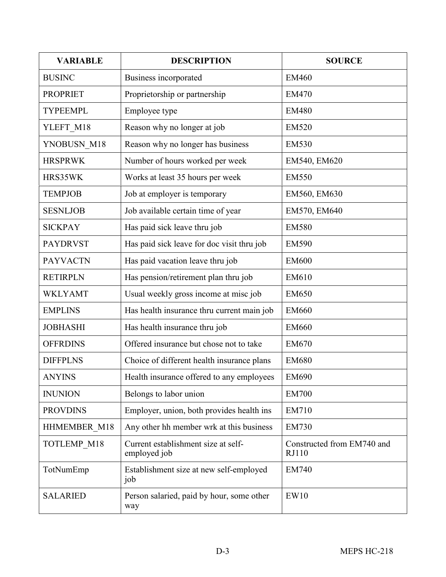| <b>VARIABLE</b> | <b>DESCRIPTION</b>                                  | <b>SOURCE</b>                       |
|-----------------|-----------------------------------------------------|-------------------------------------|
| <b>BUSINC</b>   | Business incorporated                               | <b>EM460</b>                        |
| <b>PROPRIET</b> | Proprietorship or partnership                       | <b>EM470</b>                        |
| <b>TYPEEMPL</b> | Employee type                                       | <b>EM480</b>                        |
| YLEFT_M18       | Reason why no longer at job                         | <b>EM520</b>                        |
| YNOBUSN_M18     | Reason why no longer has business                   | <b>EM530</b>                        |
| <b>HRSPRWK</b>  | Number of hours worked per week                     | EM540, EM620                        |
| HRS35WK         | Works at least 35 hours per week                    | <b>EM550</b>                        |
| <b>TEMPJOB</b>  | Job at employer is temporary                        | EM560, EM630                        |
| <b>SESNLJOB</b> | Job available certain time of year                  | EM570, EM640                        |
| <b>SICKPAY</b>  | Has paid sick leave thru job                        | <b>EM580</b>                        |
| <b>PAYDRVST</b> | Has paid sick leave for doc visit thru job          | <b>EM590</b>                        |
| <b>PAYVACTN</b> | Has paid vacation leave thru job                    | <b>EM600</b>                        |
| <b>RETIRPLN</b> | Has pension/retirement plan thru job                | EM610                               |
| <b>WKLYAMT</b>  | Usual weekly gross income at misc job               | <b>EM650</b>                        |
| <b>EMPLINS</b>  | Has health insurance thru current main job          | <b>EM660</b>                        |
| <b>JOBHASHI</b> | Has health insurance thru job                       | <b>EM660</b>                        |
| <b>OFFRDINS</b> | Offered insurance but chose not to take             | <b>EM670</b>                        |
| <b>DIFFPLNS</b> | Choice of different health insurance plans          | <b>EM680</b>                        |
| ANYINS          | Health insurance offered to any employees           | <b>EM690</b>                        |
| <b>INUNION</b>  | Belongs to labor union                              | <b>EM700</b>                        |
| <b>PROVDINS</b> | Employer, union, both provides health ins           | <b>EM710</b>                        |
| HHMEMBER M18    | Any other hh member wrk at this business            | <b>EM730</b>                        |
| TOTLEMP M18     | Current establishment size at self-<br>employed job | Constructed from EM740 and<br>RJ110 |
| TotNumEmp       | Establishment size at new self-employed<br>job      | <b>EM740</b>                        |
| <b>SALARIED</b> | Person salaried, paid by hour, some other<br>way    | EW10                                |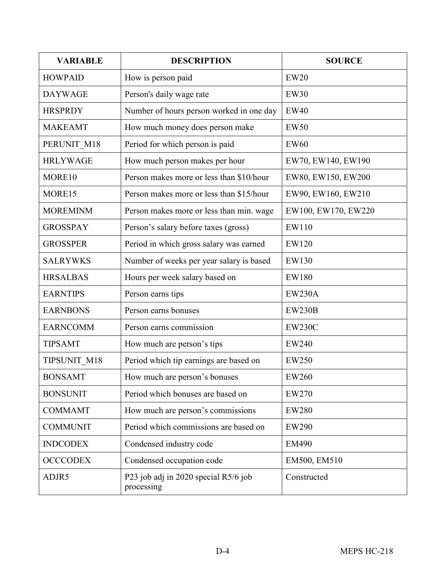| <b>VARIABLE</b> | <b>DESCRIPTION</b>                                 | <b>SOURCE</b>       |
|-----------------|----------------------------------------------------|---------------------|
| <b>HOWPAID</b>  | How is person paid                                 | <b>EW20</b>         |
| <b>DAYWAGE</b>  | Person's daily wage rate                           | <b>EW30</b>         |
| <b>HRSPRDY</b>  | Number of hours person worked in one day           | <b>EW40</b>         |
| <b>MAKEAMT</b>  | How much money does person make                    | <b>EW50</b>         |
| PERUNIT_M18     | Period for which person is paid                    | <b>EW60</b>         |
| <b>HRLYWAGE</b> | How much person makes per hour                     | EW70, EW140, EW190  |
| MORE10          | Person makes more or less than \$10/hour           | EW80, EW150, EW200  |
| MORE15          | Person makes more or less than \$15/hour           | EW90, EW160, EW210  |
| <b>MOREMINM</b> | Person makes more or less than min. wage           | EW100, EW170, EW220 |
| <b>GROSSPAY</b> | Person's salary before taxes (gross)               | EW110               |
| <b>GROSSPER</b> | Period in which gross salary was earned            | EW120               |
| <b>SALRYWKS</b> | Number of weeks per year salary is based           | EW130               |
| <b>HRSALBAS</b> | Hours per week salary based on                     | <b>EW180</b>        |
| <b>EARNTIPS</b> | Person earns tips                                  | <b>EW230A</b>       |
| <b>EARNBONS</b> | Person earns bonuses                               | <b>EW230B</b>       |
| <b>EARNCOMM</b> | Person earns commission                            | <b>EW230C</b>       |
| <b>TIPSAMT</b>  | How much are person's tips                         | <b>EW240</b>        |
| TIPSUNIT M18    | Period which tip earnings are based on             | <b>EW250</b>        |
| <b>BONSAMT</b>  | How much are person's bonuses                      | EW260               |
| <b>BONSUNIT</b> | Period which bonuses are based on                  | EW270               |
| <b>COMMAMT</b>  | How much are person's commissions                  | <b>EW280</b>        |
| <b>COMMUNIT</b> | Period which commissions are based on              | <b>EW290</b>        |
| <b>INDCODEX</b> | Condensed industry code                            | <b>EM490</b>        |
| <b>OCCCODEX</b> | Condensed occupation code                          | EM500, EM510        |
| ADJR5           | P23 job adj in 2020 special R5/6 job<br>processing | Constructed         |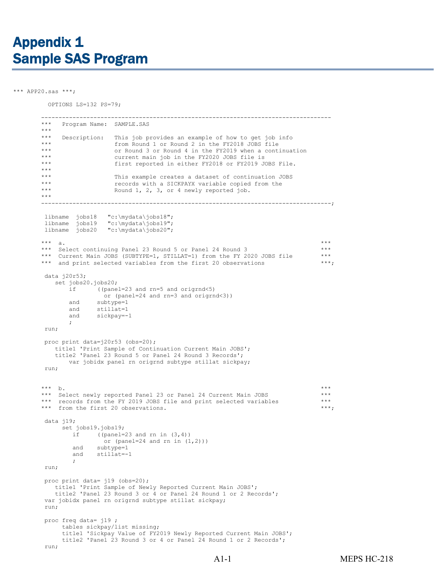<span id="page-41-0"></span>\*\*\* APP20.sas \*\*\*;

OPTIONS LS=132 PS=79;

```
 -----------------------------------------------------------------------------------
    Program Name: SAMPLE.SAS
*** 
*** Description: This job provides an example of how to get job info 
*** from Round 1 or Round 2 in the FY2018 JOBS file<br>*** or Round 3 or Round 4 in the FY2019 when a conti
*** or Round 3 or Round 4 in the FY2019 when a continuation<br>*** current main ich in the FY2020 JOBS file is
*** current main job in the FY2020 JOBS file is<br>*** first reperted in either FY2019 or FY2019 J
                    first reported in either FY2018 or FY2019 JOBS File.
*** 
*** This example creates a dataset of continuation JOBS<br>*** Tecords with a SICKPAYX variable copied from the
*** records with a SICKPAYX variable copied from the<br>*** Pound 1 2 3 or 4 newly reported ich
                     Round 1, 2, 3, or 4 newly reported job.
***-----------------------------------------------------------------------------------;
libname jobs18 "c:\mydata\jobs18";
 libname jobs19 "c:\mydata\jobs19";
 libname jobs20 "c:\mydata\jobs20";
*** a.
*** Select continuing Panel 23 Round 5 or Panel 24 Round 3 ***
*** Current Main JOBS (SUBTYPE=1, STILLAT=1) from the FY 2020 JOBS file ***<br>*** and print selected variables from the first 20 observations ***;
*** and print selected variables from the first 20 observations
data j20r53;
   set jobs20.jobs20;<br>if ((pane
              if ((panel=23 and rn=5 and origrnd<5)
                 or (panel=24 and rn=3 and origrnd<3))
       and subtype=1<br>and stillat=1
       and stillat=1<br>and sickpay=-
               sickpay=-1; 
run;
proc print data=j20r53 (obs=20);
   title1 'Print Sample of Continuation Current Main JOBS';
   title2 'Panel 23 Round 5 or Panel 24 Round 3 Records';
       var jobidx panel rn origrnd subtype stillat sickpay;
run;
*** b.
*** Select newly reported Panel 23 or Panel 24 Current Main JOBS ***
*** records from the FY 2019 JOBS file and print selected variables ***
*** from the first 20 observations. ***;data j19;
     set jobs19.jobs19;
        if ((panel=23 and rn in (3,4))
                 or (panel=24 and rn in (1,2)))
        and subtype=1<br>and stillat=-
             stillat=-1
         ; 
run;
proc print data= j19 (obs=20);
   title1 'Print Sample of Newly Reported Current Main JOBS';
   title2 'Panel 23 Round 3 or 4 or Panel 24 Round 1 or 2 Records';
var jobidx panel rn origrnd subtype stillat sickpay;
run;
proc freq data= j19 ;
     tables sickpay/list missing;
     title1 'Sickpay Value of FY2019 Newly Reported Current Main JOBS';
     title2 'Panel 23 Round 3 or 4 or Panel 24 Round 1 or 2 Records';
run;
```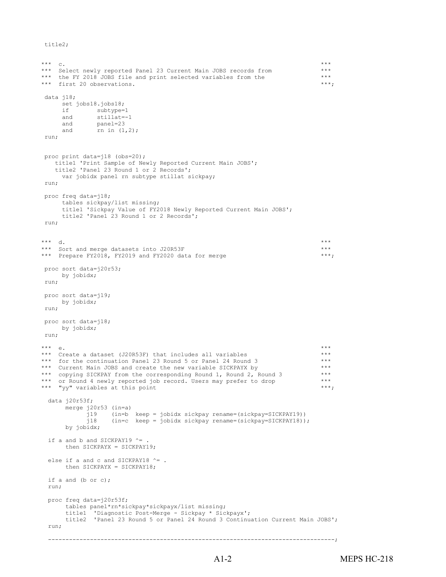```
title2;
```

```
*** C.
      *** Select newly reported Panel 23 Current Main JOBS records from ***
      *** the FY 2018 JOBS file and print selected variables from the ***
      *** first 20 observations. ***;data j18;
           set jobs18.jobs18;<br>if subtype=
           if subtype=1<br>and stillat=-
                  stillat=-1
            and panel=23
            and rn in (1,2);
       run;
       proc print data=j18 (obs=20);
         title1 'Print Sample of Newly Reported Current Main JOBS';
          title2 'Panel 23 Round 1 or 2 Records';
           var jobidx panel rn subtype stillat sickpay;
       run;
       proc freq data=j18;
           tables sickpay/list missing;
           title1 'Sickpay Value of FY2018 Newly Reported Current Main JOBS';
           title2 'Panel 23 Round 1 or 2 Records';
       run;
      *** d. ***
      *** Sort and merge datasets into J20R53F *** *** *** *** ***
      *** Prepare FY2018, FY2019 and FY2020 data for merge ***;
       proc sort data=j20r53;
          by jobidx;
       run;
       proc sort data=j19;
         by jobidx;
       run;
        proc sort data=j18;
           by jobidx;
        run;
 *** e. ***
 *** Create a dataset (J20R53F) that includes all variables ***
 *** for the continuation Panel 23 Round 5 or Panel 24 Round 3 ***
      *** Current Main JOBS and create the new variable SICKPAYX by *** <br>*** copying SICKPAY from the corresponding Round 1, Round 2, Round 3 ***
      *** copying SICKPAY from the corresponding Round 1, Round 2, Round 3 ***<br>*** or Round 4 newly reported iob record Heers may prefer to drop
 *** or Round 4 newly reported job record. Users may prefer to drop ***
*** "yy" variables at this point ***; data j20r53f;
             merge j20r53 (in=a)
                  j19 (in=b keep = jobidx sickpay rename=(sickpay=SICKPAY19))
                       (in=c keep = jobidx sickpay rename=(sickpay=SICKPAY18));
             by jobidx;
        if a and b and SICKPAY19 ^{\wedge} = .
             then SICKPAYX = SICKPAY19;
        else if a and c and SICKPAY18 ^{\wedge} = .
             then SICKPAYX = SICKPAY18;
         if a and (b or c);
         run;
         proc freq data=j20r53f;
             tables panel*rn*sickpay*sickpayx/list missing;
             title1 'Diagnostic Post-Merge - Sickpay * Sickpayx';
             title2 'Panel 23 Round 5 or Panel 24 Round 3 Continuation Current Main JOBS';
         run;
         ----------------------------------------------------------------------------------;
```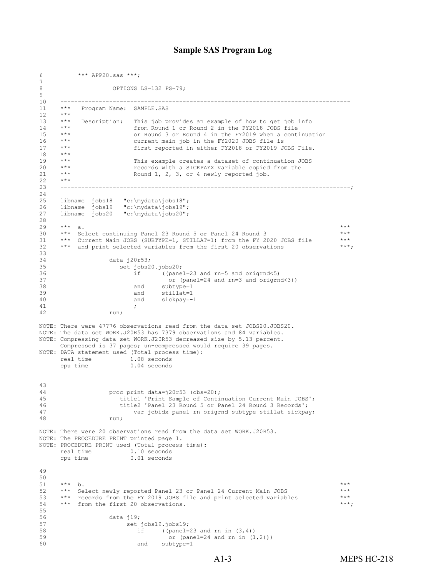#### **Sample SAS Program Log**

```
6 *** APP20.sas ***;
7 
                      OPTIONS LS=132 PS=79;
\frac{9}{10}10 -----------------------------------------------------------------------------------
11 *** Program Name: SAMPLE.SAS<br>12 ***
\begin{matrix} 12 & & & \star\star\star\\ 13 & & & \star\star\star \end{matrix}13 *** Description: This job provides an example of how to get job info<br>14 *** Interest of the mound 1 or Round 2 in the FY2018 JOBS file
14 *** from Round 1 or Round 2 in the FY2018 JOBS file<br>15 *** or Round 3 or Round 4 in the FY2019 when a cont.
15 *** or Round 3 or Round 4 in the FY2019 when a continuation<br>16 *** current main iob in the FY2020 JOBS file is
16 *** current main job in the FY2020 JOBS file is<br>17 *** first reported in either FY2018 or FY2019 JO
17 *** first reported in either FY2018 or FY2019 JOBS File. 
18 ***<br>19 ***
19 *** This example creates a dataset of continuation JOBS<br>20 *** Tecords with a SICKPAYX variable copied from the
20 *** records with a SICKPAYX variable copied from the<br>21 *** Round 1, 2, 3, or 4 newly reported iob.
      *** Round 1, 2, 3, or 4 newly reported job.
22<br>2323 -----------------------------------------------------------------------------------; 
24<br>25
25 libname jobs18 "c:\mydata\jobs18";<br>26 libname jobs19 "c:\mydata\jobs19";
26 libname jobs19 "c:\mydata\jobs19";
27 libname jobs20 "c:\mydata\jobs20";
\frac{28}{29}29 *** a.
30 *** Select continuing Panel 23 Round 5 or Panel 24 Round 3 ***
31 *** Current Main JOBS (SUBTYPE=1, STILLAT=1) from the FY 2020 JOBS file ***<br>32 *** and print selected variables from the first 20 observations ***;
      *** and print selected variables from the first 20 observations
33<br>34
34 data j20r53;<br>35 set jobs235 set jobs20.jobs20;<br>36 if (toane
36 if ((panel=23 and rn=5 and origrnd<5)
37 or (panel=24 and rn=3 and origrnd<3))
38 and subtype=1<br>39 and stillat=1
39 and stillat=1<br>40 and sickpay=-
40 and sickpay=-1<br>41 ,
41 ;
42 run;
NOTE: There were 47776 observations read from the data set JOBS20.JOBS20.
NOTE: The data set WORK.J20R53 has 7379 observations and 84 variables.
NOTE: Compressing data set WORK.J20R53 decreased size by 5.13 percent. 
       Compressed is 37 pages; un-compressed would require 39 pages.
NOTE: DATA statement used (Total process time):<br>real time 1.08 seconds
      real time 1.08 seconds<br>cpu time 0.04 seconds
                           0.04 seconds
43 
44 proc print data=j20r53 (obs=20);<br>45 title1 'Print Sample of Conti
45 title1 'Print Sample of Continuation Current Main JOBS';<br>46 title2 'Panel 23 Round 5 or Panel 24 Round 3 Records':
46 title2 'Panel 23 Round 5 or Panel 24 Round 3 Records';<br>47 var iobidx panel rn original subtype stillat sickna:
47 var jobidx panel rn origrnd subtype stillat sickpay;
                     run;
NOTE: There were 20 observations read from the data set WORK.J20R53.
NOTE: The PROCEDURE PRINT printed page 1.
NOTE: PROCEDURE PRINT used (Total process time):
      real time 0.10 seconds<br>cpu time 0.01 seconds
                           0.01 seconds
49 
50<br>51
51 *** b. *** b.
52 *** Select newly reported Panel 23 or Panel 24 Current Main JOBS ***
*** records from the FY 2019 JOBS file and print selected variables ***<br>54 *** from the first 20 observations. ***;
      *** from the first 20 observations.
55<br>56
56 data j19;<br>57 set.
57 set jobs19.jobs19;<br>58 if (panel=
58 if ((panel=23 and rn in (3,4))<br>59 or (panel=24 and rn in (1)
59 or (panel=24 and rn in (1,2)))<br>60 and subtype=1
                                   subtype=1
```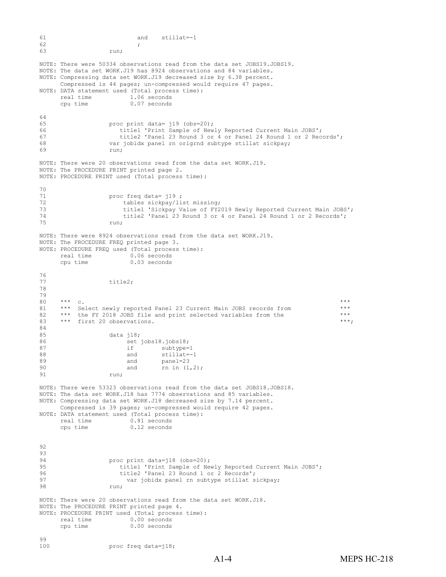```
61 and stillat=-1 \overline{62} ,
62 ;
63 run;
NOTE: There were 50334 observations read from the data set JOBS19.JOBS19.
NOTE: The data set WORK.J19 has 8924 observations and 84 variables.
NOTE: Compressing data set WORK.J19 decreased size by 6.38 percent. 
      Compressed is 44 pages; un-compressed would require 47 pages.
NOTE: DATA statement used (Total process time):<br>real time 1.06 seconds
      real time 1.06 seconds<br>cpu time 0.07 seconds
                           0.07 seconds
64<br>65
65 proc print data= j19 (obs=20);<br>66 title1 'Print Sample of New
66 title1 'Print Sample of Newly Reported Current Main JOBS';<br>67 title2 'Panel 23 Round 3 or 4 or Panel 24 Round 1 or 2 Rec
67 title2 'Panel 23 Round 3 or 4 or Panel 24 Round 1 or 2 Records';<br>68 var ichidy panel rn original subtune stillat sicknay:
68 var jobidx panel rn origrnd subtype stillat sickpay;
                     run;
NOTE: There were 20 observations read from the data set WORK.J19.
NOTE: The PROCEDURE PRINT printed page 2.
NOTE: PROCEDURE PRINT used (Total process time):
70 
71 proc freq data= j19;<br>72 tables sickpay/li
72 tables sickpay/list missing;<br>73 title1 'Sickpay Value of FY2
73 title1 'Sickpay Value of FY2019 Newly Reported Current Main JOBS';<br>74 title2 'Panel 23 Round 3 or 4 or Panel 24 Round 1 or 2 Records';
74 title2 'Panel 23 Round 3 or 4 or Panel 24 Round 1 or 2 Records';
75 run;
NOTE: There were 8924 observations read from the data set WORK.J19.
NOTE: The PROCEDURE FREQ printed page 3.
NOTE: PROCEDURE FREQ used (Total process time):<br>real time 0.06 seconds
      real time 0.06 seconds<br>cpu time 0.03 seconds
                           0.03 seconds
76 
                     title2;
78 
79 
80 *** c.
81 *** Select newly reported Panel 23 Current Main JOBS records from ***
82 *** the FY 2018 JOBS file and print selected variables from the ***<br>83 *** first 20 observations.
      *** first 20 observations.
84 
85 data j18;<br>86 set
86 set jobs18.jobs18;<br>87 if subtype=
87 if subtype=1<br>88 and stillat=-
88 and stillat=-1<br>89 and panel=23
89 and panel=23<br>90 and rn in (1
90 and \overline{r} and \overline{r} in (1,2);
                     run;
NOTE: There were 53323 observations read from the data set JOBS18.JOBS18.
NOTE: The data set WORK.J18 has 7774 observations and 85 variables.
NOTE: Compressing data set WORK.J18 decreased size by 7.14 percent. 
      Compressed is 39 pages; un-compressed would require 42 pages.
NOTE: DATA statement used (Total process time):<br>real time 0.81 seconds
      real time 0.81 seconds<br>cpu time 0.12 seconds
                           0.12 seconds
92 
93 
94 proc print data=j18 (obs=20);<br>95 bitle1 'Print Sample of Ne
95 title1 'Print Sample of Newly Reported Current Main JOBS';<br>96 title2 'Panel 23 Round 1 or 2 Records':
96 title2 'Panel 23 Round 1 or 2 Records';<br>97 year iobidy panel rn subtune stillet s
97 var jobidx panel rn subtype stillat sickpay;<br>98 vun:
                     run;
NOTE: There were 20 observations read from the data set WORK.J18.
NOTE: The PROCEDURE PRINT printed page 4.
NOTE: PROCEDURE PRINT used (Total process time):<br>real time 0.00 seconds
      real time 0.00 seconds<br>cpu time 0.00 seconds
                           0.00 seconds
99<br>100
                     proc freq data=j18;
```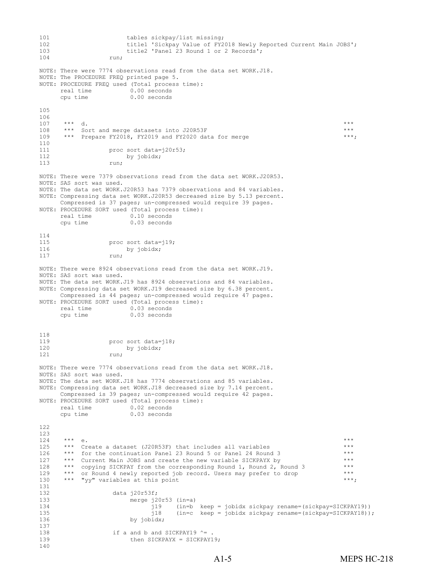```
101 tables sickpay/list missing;<br>102 title1 'Sickpay Value of FY2
102 title1 'Sickpay Value of FY2018 Newly Reported Current Main JOBS';<br>103 title2 'Panel 23 Round 1 or 2 Records':
103 title2 'Panel 23 Round 1 or 2 Records';<br>104 run;
                    run;
NOTE: There were 7774 observations read from the data set WORK.J18.
NOTE: The PROCEDURE FREQ printed page 5.
NOTE: PROCEDURE FREQ used (Total process time):
      real time 0.00 seconds<br>cpu time 0.00 seconds
                          0.00 seconds
105 
106<br>107
107 *** d.
108 *** Sort and merge datasets into J20R53F ***
109 *** Prepare FY2018, FY2019 and FY2020 data for merge ***;110<br>111
111 proc sort data=j20r53;<br>112 by iobidx:
112 by jobidx;<br>113 cun:
113 run;
NOTE: There were 7379 observations read from the data set WORK.J20R53.
NOTE: SAS sort was used.
NOTE: The data set WORK.J20R53 has 7379 observations and 84 variables.
NOTE: Compressing data set WORK.J20R53 decreased size by 5.13 percent. 
     Compressed is 37 pages; un-compressed would require 39 pages.
NOTE: PROCEDURE SORT used (Total process time):<br>real time 0.10 seconds
     real time<br>cpu time
                          0.03 seconds
114<br>115115 proc sort data=j19;<br>116 by iobidx:
116 by jobidx;<br>117 min:
117 run;
NOTE: There were 8924 observations read from the data set WORK.J19.
NOTE: SAS sort was used.
NOTE: The data set WORK.J19 has 8924 observations and 84 variables.
NOTE: Compressing data set WORK.J19 decreased size by 6.38 percent. 
      Compressed is 44 pages; un-compressed would require 47 pages.
NOTE: PROCEDURE SORT used (Total process time):
     real time 0.03 seconds<br>cpu time 0.03 seconds
                          0.03 seconds
\frac{118}{119}119 proc sort data=j18;<br>120 by iobidy:
120 by jobidx;<br>121 cun:
                    run;
NOTE: There were 7774 observations read from the data set WORK.J18.
NOTE: SAS sort was used.
NOTE: The data set WORK.J18 has 7774 observations and 85 variables.
NOTE: Compressing data set WORK.J18 decreased size by 7.14 percent. 
     Compressed is 39 pages; un-compressed would require 42 pages.
NOTE: PROCEDURE SORT used (Total process time):<br>real time 0.02 seconds
      real time<br>cpu time
                          0.03 seconds
122 
123 
124 *** e.
125 *** Create a dataset (J20R53F) that includes all variables ***
126 *** for the continuation Panel 23 Round 5 or Panel 24 Round 3 ***
<sup>***</sup> Current Main JOBS and create the new variable SICKPAYX by ***<br>128 *** copying SICKPAY from the corresponding Round 1, Round 2, Round 3 ***
*** copying SICKPAY from the corresponding Round 1, Round 2, Round 3 ***<br>129 *** or Round 4 newly reported iob record. Users may prefer to drop ***
129 *** or Round 4 newly reported job record. Users may prefer to drop ***
130 *** "yy" variables at this point the second second state of the state of the state of the state of the state of the state of the state of the state of the state of the state of the state of the state of the state of th
131<br>132
132 data j20r53f;<br>133 merge i2
133 merge j20r53 (in=a)<br>134 j19 (in=b
134 in=b keep = jobidx sickpay rename=(sickpay=SICKPAY19))<br>135 139 (in=c keep = jobidx sickpay rename=(sickpay=SICKPAY18))
135 j18 (in=c keep = jobidx sickpay rename=(sickpay=SICKPAY18));<br>136
                           by jobidx;
137<br>138
138 if a and b and SICKPAY19 ^{\circ} = .<br>139 then SICKPAYX = SICKPAY1
                           then SICKPAYX = SICKPAY19;
140
```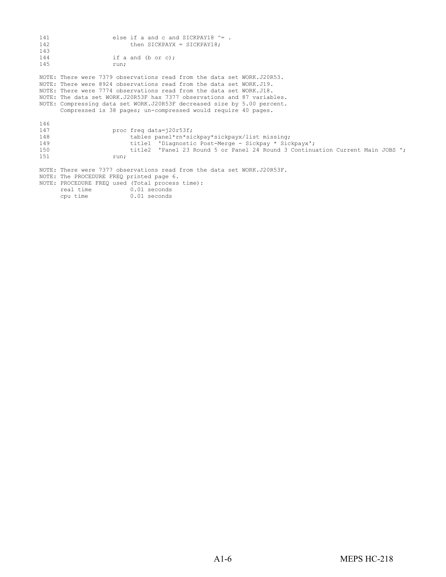| 141<br>142<br>143                      |                                                                                                                      | else if a and c and SICKPAY18 $^{\circ}$ = .<br>then SICKPAYX = SICKPAY18;                                                                                                                                                                                                                                                                                                                                                                  |  |
|----------------------------------------|----------------------------------------------------------------------------------------------------------------------|---------------------------------------------------------------------------------------------------------------------------------------------------------------------------------------------------------------------------------------------------------------------------------------------------------------------------------------------------------------------------------------------------------------------------------------------|--|
| 144<br>145                             | run;                                                                                                                 | if a and $(b$ or $c)$ ;                                                                                                                                                                                                                                                                                                                                                                                                                     |  |
|                                        |                                                                                                                      | NOTE: There were 7379 observations read from the data set WORK.J20R53.<br>NOTE: There were 8924 observations read from the data set WORK.J19.<br>NOTE: There were 7774 observations read from the data set WORK.J18.<br>NOTE: The data set WORK.J20R53F has 7377 observations and 87 variables.<br>NOTE: Compressing data set WORK.J20R53F decreased size by 5.00 percent.<br>Compressed is 38 pages; un-compressed would require 40 pages. |  |
| 146<br>147<br>148<br>149<br>150<br>151 | run;                                                                                                                 | proc freq data=j20r53f;<br>tables panel*rn*sickpay*sickpayx/list missing;<br>title1 'Diagnostic Post-Merge - Sickpay * Sickpayx';<br>title2 'Panel 23 Round 5 or Panel 24 Round 3 Continuation Current Main JOBS ';                                                                                                                                                                                                                         |  |
|                                        | NOTE: The PROCEDURE FREQ printed page 6.<br>NOTE: PROCEDURE FREO used (Total process time):<br>real time<br>cpu time | NOTE: There were 7377 observations read from the data set WORK.J20R53F.<br>0.01 seconds<br>0.01 seconds                                                                                                                                                                                                                                                                                                                                     |  |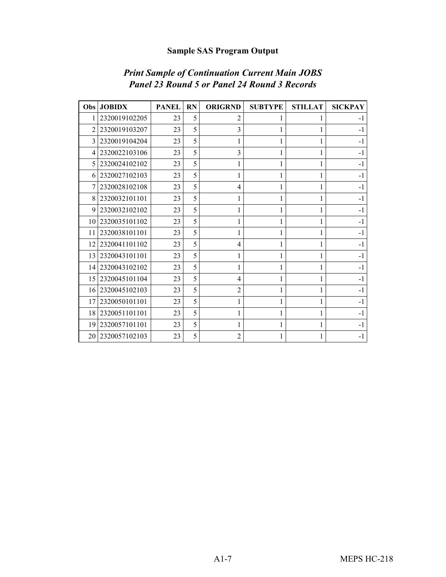## **Sample SAS Program Output**

| <b>Obs</b>     | <b>JOBIDX</b> | <b>PANEL</b> | <b>RN</b> | <b>ORIGRND</b> | <b>SUBTYPE</b> | <b>STILLAT</b> | <b>SICKPAY</b> |
|----------------|---------------|--------------|-----------|----------------|----------------|----------------|----------------|
|                | 2320019102205 | 23           | 5         | 2              |                |                | $-1$           |
|                | 2320019103207 | 23           | 5         | 3              | 1              |                | $-1$           |
| 3              | 2320019104204 | 23           | 5         |                | 1              |                | $-1$           |
| $\overline{4}$ | 2320022103106 | 23           | 5         | 3              | 1              |                | $-1$           |
| 5              | 2320024102102 | 23           | 5         |                | 1              |                | $-1$           |
| 6              | 2320027102103 | 23           | 5         |                |                |                | $-1$           |
|                | 2320028102108 | 23           | 5         | 4              | 1              |                | $-1$           |
| 8              | 2320032101101 | 23           | 5         |                | 1              |                | $-1$           |
| 9              | 2320032102102 | 23           | 5         | 1              | 1              |                | $-1$           |
| 10             | 2320035101102 | 23           | 5         |                | 1              |                | $-1$           |
| 11             | 2320038101101 | 23           | 5         |                |                |                | $-1$           |
| 12             | 2320041101102 | 23           | 5         | 4              | 1              |                | $-1$           |
| 13             | 2320043101101 | 23           | 5         |                |                |                | $-1$           |
| 14             | 2320043102102 | 23           | 5         | 1              | 1              |                | $-1$           |
| 15             | 2320045101104 | 23           | 5         | 4              |                |                | $-1$           |
| 16             | 2320045102103 | 23           | 5         | 2              | 1              |                | $-1$           |
| 17             | 2320050101101 | 23           | 5         |                | 1              |                | $-1$           |
| 18             | 2320051101101 | 23           | 5         |                |                |                | $-1$           |
| 19             | 2320057101101 | 23           | 5         |                | 1              |                | $-1$           |
| 20             | 2320057102103 | 23           | 5         | 2              |                |                | $-1$           |

## *Print Sample of Continuation Current Main JOBS Panel 23 Round 5 or Panel 24 Round 3 Records*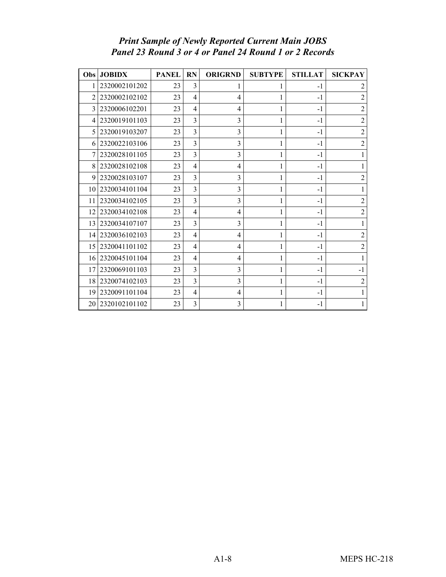### *Print Sample of Newly Reported Current Main JOBS Panel 23 Round 3 or 4 or Panel 24 Round 1 or 2 Records*

| Obs            | <b>JOBIDX</b>    | <b>PANEL</b> | <b>RN</b>      | <b>ORIGRND</b> | <b>SUBTYPE</b> | <b>STILLAT</b> | <b>SICKPAY</b> |
|----------------|------------------|--------------|----------------|----------------|----------------|----------------|----------------|
| 1              | 2320002101202    | 23           | 3              |                | 1              | $-1$           | 2              |
| $\mathfrak{D}$ | 2320002102102    | 23           | 4              | 4              | 1              | $-1$           | $\overline{c}$ |
| 3              | 2320006102201    | 23           | 4              | 4              | 1              | $-1$           | $\overline{2}$ |
| 4              | 2320019101103    | 23           | 3              | 3              | 1              | $-1$           | $\overline{c}$ |
| 5              | 2320019103207    | 23           | $\overline{3}$ | 3              | 1              | $-1$           | $\overline{2}$ |
| 6              | 2320022103106    | 23           | 3              | 3              | 1              | $-1$           | $\overline{c}$ |
| 7              | 2320028101105    | 23           | 3              | 3              | 1              | $-1$           | 1              |
| 8              | 2320028102108    | 23           | 4              | 4              | 1              | $-1$           |                |
| 9              | 2320028103107    | 23           | 3              | 3              | 1              | $-1$           | $\overline{c}$ |
| 10             | 2320034101104    | 23           | 3              | 3              | 1              | $-1$           | 1              |
| 11             | 2320034102105    | 23           | $\overline{3}$ | 3              | 1              | $-1$           | $\overline{2}$ |
| 12             | 2320034102108    | 23           | 4              | 4              | 1              | $-1$           | $\overline{2}$ |
| 13             | 2320034107107    | 23           | 3              | 3              | 1              | $-1$           | 1              |
| 14             | 2320036102103    | 23           | 4              | 4              | 1              | $-1$           | $\overline{2}$ |
| 15             | 2320041101102    | 23           | 4              | 4              | 1              | $-1$           | $\overline{c}$ |
| 16             | 2320045101104    | 23           | 4              | 4              | 1              | $-1$           |                |
| 17             | 2320069101103    | 23           | 3              | 3              | 1              | $-1$           | $-1$           |
| 18             | 2320074102103    | 23           | $\overline{3}$ | 3              | $\mathbf{1}$   | $-1$           | $\overline{2}$ |
| 19             | 2320091101104    | 23           | 4              | 4              | 1              | $-1$           |                |
|                | 20 2320102101102 | 23           | 3              | 3              |                | $-1$           |                |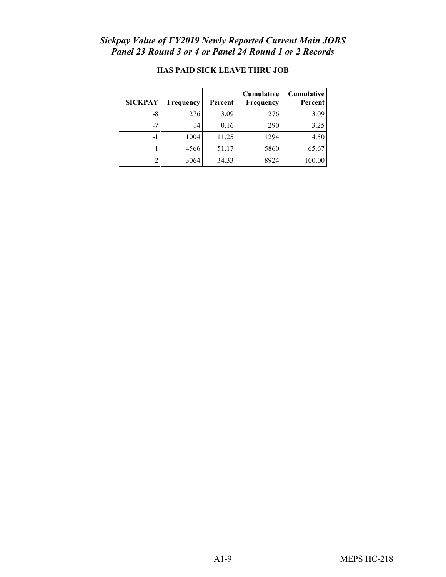#### *Sickpay Value of FY2019 Newly Reported Current Main JOBS Panel 23 Round 3 or 4 or Panel 24 Round 1 or 2 Records*

| <b>SICKPAY</b> | Frequency | Percent | <b>Cumulative</b><br>Frequency | Cumulative<br><b>Percent</b> |
|----------------|-----------|---------|--------------------------------|------------------------------|
| $-8$           | 276       | 3.09    | 276                            | 3.09                         |
| -7             | 14        | 0.16    | 290                            | 3.25                         |
| -1             | 1004      | 11.25   | 1294                           | 14.50                        |
|                | 4566      | 51.17   | 5860                           | 65.67                        |
|                | 3064      | 34.33   | 8924                           | 100.00                       |

## **HAS PAID SICK LEAVE THRU JOB**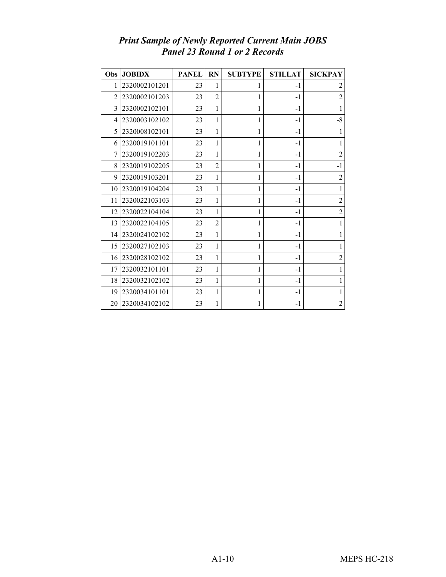| Obs            | <b>JOBIDX</b> | <b>PANEL</b> | <b>RN</b>      | <b>SUBTYPE</b> | <b>STILLAT</b> | <b>SICKPAY</b> |
|----------------|---------------|--------------|----------------|----------------|----------------|----------------|
| 1              | 2320002101201 | 23           | 1              | 1              | $-1$           | 2              |
| $\overline{2}$ | 2320002101203 | 23           | $\overline{2}$ | 1              | $-1$           | $\overline{2}$ |
| 3              | 2320002102101 | 23           | 1              | 1              | $-1$           | 1              |
| 4              | 2320003102102 | 23           | 1              | 1              | $-1$           | $-8$           |
| 5              | 2320008102101 | 23           | 1              | 1              | $-1$           | 1              |
| 6              | 2320019101101 | 23           | 1              | 1              | $-1$           | 1              |
| 7              | 2320019102203 | 23           | 1              | 1              | $-1$           | $\overline{2}$ |
| 8              | 2320019102205 | 23           | $\overline{2}$ | 1              | $-1$           | $-1$           |
| 9              | 2320019103201 | 23           | 1              | 1              | $-1$           | $\overline{2}$ |
| 10             | 2320019104204 | 23           | 1              | 1              | $-1$           | 1              |
| 11             | 2320022103103 | 23           | 1              | 1              | $-1$           | $\overline{2}$ |
| 12             | 2320022104104 | 23           | 1              | $\mathbf 1$    | $-1$           | $\overline{2}$ |
| 13             | 2320022104105 | 23           | $\overline{2}$ | 1              | $-1$           | 1              |
| 14             | 2320024102102 | 23           | 1              | 1              | $-1$           | 1              |
| 15             | 2320027102103 | 23           | 1              | 1              | $-1$           | 1              |
| 16             | 2320028102102 | 23           | 1              | 1              | $-1$           | $\overline{2}$ |
| 17             | 2320032101101 | 23           | 1              | 1              | $-1$           | 1              |
| 18             | 2320032102102 | 23           | 1              | 1              | $-1$           | 1              |
| 19             | 2320034101101 | 23           | 1              | 1              | $-1$           | 1              |
| 20             | 2320034102102 | 23           | 1              | 1              | $-1$           | $\overline{2}$ |

### *Print Sample of Newly Reported Current Main JOBS Panel 23 Round 1 or 2 Records*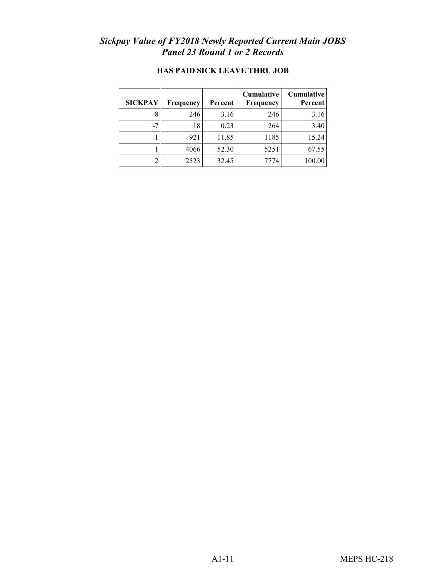## *Sickpay Value of FY2018 Newly Reported Current Main JOBS Panel 23 Round 1 or 2 Records*

| <b>SICKPAY</b> | Frequency | Percent | Cumulative<br><b>Frequency</b> | <b>Cumulative</b><br>Percent |
|----------------|-----------|---------|--------------------------------|------------------------------|
| -8             | 246       | 3.16    | 246                            | 3.16                         |
| -7             | 18        | 0.23    | 264                            | 3.40                         |
|                | 921       | 11.85   | 1185                           | 15.24                        |
|                | 4066      | 52.30   | 5251                           | 67.55                        |
|                | 2523      | 32.45   | 7774                           | 100.00                       |

### **HAS PAID SICK LEAVE THRU JOB**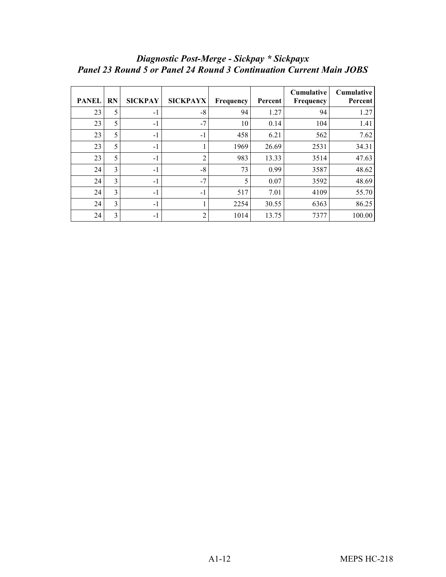| <b>PANEL</b> | <b>RN</b> | <b>SICKPAY</b> | <b>SICKPAYX</b> | Frequency | Percent | <b>Cumulative</b><br>Frequency | <b>Cumulative</b><br>Percent |
|--------------|-----------|----------------|-----------------|-----------|---------|--------------------------------|------------------------------|
| 23           | 5         | $-1$           | $-8$            | 94        | 1.27    | 94                             | 1.27                         |
| 23           | 5         | $-1$           | $-7$            | 10        | 0.14    | 104                            | 1.41                         |
| 23           | 5         | $-1$           | $-1$            | 458       | 6.21    | 562                            | 7.62                         |
| 23           | 5         | $-1$           |                 | 1969      | 26.69   | 2531                           | 34.31                        |
| 23           | 5         | $-1$           | $\overline{2}$  | 983       | 13.33   | 3514                           | 47.63                        |
| 24           | 3         | $-1$           | $-8$            | 73        | 0.99    | 3587                           | 48.62                        |
| 24           | 3         | $-1$           | $-7$            | 5         | 0.07    | 3592                           | 48.69                        |
| 24           | 3         | $-1$           | $-1$            | 517       | 7.01    | 4109                           | 55.70                        |
| 24           | 3         | $-1$           |                 | 2254      | 30.55   | 6363                           | 86.25                        |
| 24           | 3         | $-1$           | 2               | 1014      | 13.75   | 7377                           | 100.00                       |

## *Diagnostic Post-Merge - Sickpay \* Sickpayx Panel 23 Round 5 or Panel 24 Round 3 Continuation Current Main JOBS*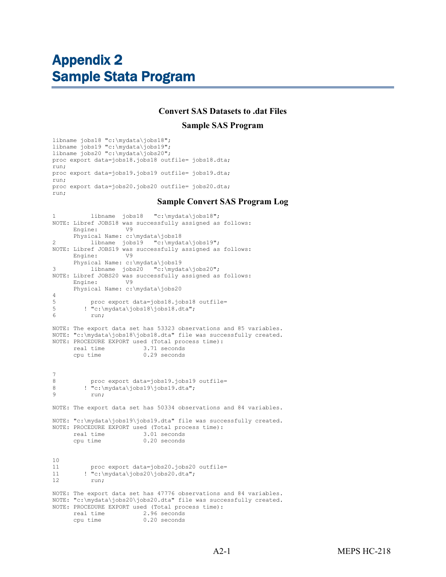# <span id="page-53-0"></span>Appendix 2 Sample Stata Program

#### **Convert SAS Datasets to .dat Files**

#### **Sample SAS Program**

libname jobs18 "c:\mydata\jobs18"; libname jobs19 "c:\mydata\jobs19"; libname jobs20 "c:\mydata\jobs20"; proc export data=jobs18.jobs18 outfile= jobs18.dta; run; proc export data=jobs19.jobs19 outfile= jobs19.dta; run; proc export data=jobs20.jobs20 outfile= jobs20.dta; run;

#### **Sample Convert SAS Program Log**

```
1 libname jobs18 "c:\mydata\jobs18";
NOTE: Libref JOBS18 was successfully assigned as follows: 
      Engine:
       Physical Name: c:\mydata\jobs18 
2 libname jobs19 "c:\mydata\jobs19";
NOTE: Libref JOBS19 was successfully assigned as follows: 
       Engine: V9 
Physical Name: c:\mydata\jobs19<br>3 1ibname jobs20 "c:\myda
           libname jobs20 "c:\mydata\jobs20";
NOTE: Libref JOBS20 was successfully assigned as follows: 
      Engine:
      Physical Name: c:\mydata\jobs20
\frac{4}{5}5 proc export data=jobs18.jobs18 outfile=<br>5 contratations18\iobs18 dta":
5 ! "c:\mydata\josh18\josh18.dta";
            6 run;
NOTE: The export data set has 53323 observations and 85 variables.
NOTE: "c:\mydata\jobs18\jobs18.dta" file was successfully created.
NOTE: PROCEDURE EXPORT used (Total process time):<br>real time 3.71 seconds
      real time 3.71 seconds<br>cpu time 0.29 seconds
                             0.29 seconds
\frac{7}{8}8 proc export data=jobs19.jobs19 outfile=<br>8 l "c:\mydata\iobs19\iobs19 dta";
8 ! "c:\mydata\jobs19\jobs19.dta";
            run:
NOTE: The export data set has 50334 observations and 84 variables.
NOTE: "c:\mydata\jobs19\jobs19.dta" file was successfully created.
NOTE: PROCEDURE EXPORT used (Total process time):<br>real time 3.01 seconds
      real time 3.01 seconds<br>cpu time 0.20 seconds
                              0.20 seconds
\begin{array}{c} 10 \\ 11 \end{array}11 proc export data=jobs20.jobs20 outfile=<br>11 : "c:\mydata\jobs20\jobs20.dta";
11 \text{! "c:\mydata\jobs20\jobs20.dat"};run;
NOTE: The export data set has 47776 observations and 84 variables.
NOTE: "c:\mydata\jobs20\jobs20.dta" file was successfully created.
NOTE: PROCEDURE EXPORT used (Total process time):
      real time 2.96 seconds<br>cou time 0.20 seconds
                              0.20 seconds
```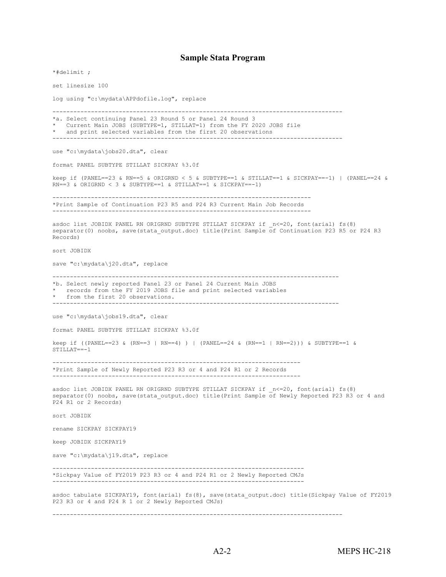#### **Sample Stata Program**

\*#delimit ; set linesize 100 log using "c:\mydata\APPdofile.log", replace ----------------------------------------------------------------------------------- \*a. Select continuing Panel 23 Round 5 or Panel 24 Round 3 Current Main JOBS (SUBTYPE=1, STILLAT=1) from the FY 2020 JOBS file \* and print selected variables from the first 20 observations ---------------------------------------------------------------------------------- use "c:\mydata\jobs20.dta", clear format PANEL SUBTYPE STILLAT SICKPAY %3.0f keep if (PANEL==23 & RN==5 & ORIGRND < 5 & SUBTYPE==1 & STILLAT==1 & SICKPAY==-1) | (PANEL==24 & RN==3 & ORIGRND < 3 & SUBTYPE==1 & STILLAT==1 & SICKPAY==-1) -------------------------------------------------------------------------- \*Print Sample of Continuation P23 R5 and P24 R3 Current Main Job Records ------------------------------------------------------------------------- asdoc list JOBIDX PANEL RN ORIGRND SUBTYPE STILLAT SICKPAY if  $_n<=20$ , font(arial) fs(8) separator(0) noobs, save(stata output.doc) title(Print Sample of Continuation P23 R5 or P24 R3 Records) sort JOBIDX save "c:\mydata\j20.dta", replace ---------------------------------------------------------------------------------- \*b. Select newly reported Panel 23 or Panel 24 Current Main JOBS records from the FY 2019 JOBS file and print selected variables from the first 20 observations. --------------------------------------------------------------------------------- use "c:\mydata\jobs19.dta", clear format PANEL SUBTYPE STILLAT SICKPAY %3.0f keep if ((PANEL==23 & (RN==3 | RN==4) ) | (PANEL==24 & (RN==1 | RN==2))) & SUBTYPE==1 & STILLAT==-1 ----------------------------------------------------------------------- \*Print Sample of Newly Reported P23 R3 or 4 and P24 R1 or 2 Records ---------------------------------------------------------------------- asdoc list JOBIDX PANEL RN ORIGRND SUBTYPE STILLAT SICKPAY if \_n<=20, font(arial) fs(8) separator(0) noobs, save(stata output.doc) title(Print Sample of Newly Reported P23 R3 or 4 and P24 R1 or 2 Records) sort JOBIDX rename SICKPAY SICKPAY19 keep JOBIDX SICKPAY19 save "c:\mydata\j19.dta", replace ------------------------------------------------------------------------ \*Sickpay Value of FY2019 P23 R3 or 4 and P24 R1 or 2 Newly Reported CMJs ----------------------------------------------------------------------- asdoc tabulate SICKPAY19, font(arial) fs(8), save(stata output.doc) title(Sickpay Value of FY2019 P23 R3 or 4 and P24 R 1 or 2 Newly Reported CMJs)

-----------------------------------------------------------------------------------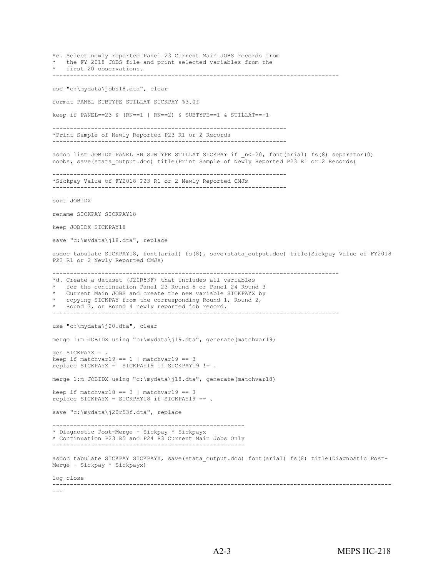\*c. Select newly reported Panel 23 Current Main JOBS records from \* the FY 2018 JOBS file and print selected variables from the \* first 20 observations. --------------------------------------------------------------------------------- use "c:\mydata\jobs18.dta", clear format PANEL SUBTYPE STILLAT SICKPAY %3.0f keep if PANEL==23 & (RN==1 | RN==2) & SUBTYPE==1 & STILLAT==-1 ------------------------------------------------------------------- \*Print Sample of Newly Reported P23 R1 or 2 Records ------------------------------------------------------------------ asdoc list JOBIDX PANEL RN SUBTYPE STILLAT SICKPAY if  $n<=20$ , font(arial) fs(8) separator(0) noobs, save(stata output.doc) title(Print Sample of Newly Reported P23 R1 or 2 Records) ------------------------------------------------------------------- \*Sickpay Value of FY2018 P23 R1 or 2 Newly Reported CMJs ------------------------------------------------------------------ sort JOBIDX rename SICKPAY SICKPAY18 keep JOBIDX SICKPAY18 save "c:\mydata\j18.dta", replace asdoc tabulate SICKPAY18, font(arial) fs(8), save(stata output.doc) title(Sickpay Value of FY2018 P23 R1 or 2 Newly Reported CMJs) ---------------------------------------------------------------------------------- \*d. Create a dataset (J20R53F) that includes all variables for the continuation Panel 23 Round 5 or Panel 24 Round 3 Current Main JOBS and create the new variable SICKPAYX by copying SICKPAY from the corresponding Round 1, Round 2, \* Round 3, or Round 4 newly reported job record. --------------------------------------------------------------------------------- use "c:\mydata\j20.dta", clear merge 1:m JOBIDX using "c:\mydata\j19.dta", generate(matchvar19) gen SICKPAYX = . keep if matchvar19 ==  $1 \mid$  matchvar19 == 3 replace SICKPAYX = SICKPAY19 if SICKPAY19 != . merge 1:m JOBIDX using "c:\mydata\j18.dta", generate(matchvar18) keep if matchvar18 ==  $3$  | matchvar19 ==  $3$ replace SICKPAYX = SICKPAY18 if SICKPAY19 == . save "c:\mydata\j20r53f.dta", replace ------------------------------------------------------- \* Diagnostic Post-Merge - Sickpay \* Sickpayx \* Continuation P23 R5 and P24 R3 Current Main Jobs Only ------------------------------------------------------ asdoc tabulate SICKPAY SICKPAYX, save(stata\_output.doc) font(arial) fs(8) title(Diagnostic Post-Merge - Sickpay \* Sickpayx) log close ------------------------------------------------------------------------------------------------- ---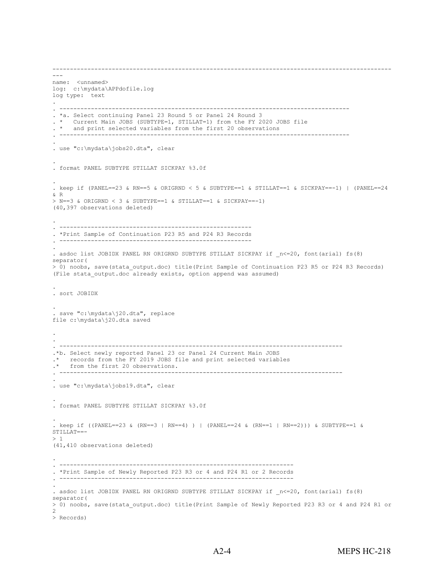```
-------------------------------------------------------------------------------------------------
---
name: <unnamed>
log: c:\mydata\APPdofile.log
log type: text
. 
. -----------------------------------------------------------------------------------
. *a. Select continuing Panel 23 Round 5 or Panel 24 Round 3
. * Current Main JOBS (SUBTYPE=1, STILLAT=1) from the FY 2020 JOBS file
. * and print selected variables from the first 20 observations
. -----------------------------------------------------------------------------------
. 
. use "c:\mydata\jobs20.dta", clear
. 
. format PANEL SUBTYPE STILLAT SICKPAY %3.0f
. 
. keep if (PANEL==23 & RN==5 & ORIGRND < 5 & SUBTYPE==1 & STILLAT==1 & SICKPAY==-1) | (PANEL==24 
& R
> N==3 & ORIGRND < 3 & SUBTYPE==1 & STILLAT==1 & SICKPAY==-1)
(40,397 observations deleted)
. 
. -------------------------------------------------------
. *Print Sample of Continuation P23 R5 and P24 R3 Records
   . -------------------------------------------------------
. 
. asdoc list JOBIDX PANEL RN ORIGRND SUBTYPE STILLAT SICKPAY if _n<=20, font(arial) fs(8) 
separator(
> 0) noobs, save(stata output.doc) title(Print Sample of Continuation P23 R5 or P24 R3 Records)
(File stata output.doc already exists, option append was assumed)
. 
. sort JOBIDX
. 
. save "c:\mydata\j20.dta", replace 
file c:\mydata\j20.dta saved
. 
. 
         . ---------------------------------------------------------------------------------
.*b. Select newly reported Panel 23 or Panel 24 Current Main JOBS 
.* records from the FY 2019 JOBS file and print selected variables<br>
* from the first 20 observations
    from the first 20 observations.
. ---------------------------------------------------------------------------------
. 
. use "c:\mydata\jobs19.dta", clear
. 
. format PANEL SUBTYPE STILLAT SICKPAY %3.0f
. 
. keep if ((PANEL==23 & (RN==3 | RN==4) ) | (PANEL==24 & (RN==1 | RN==2))) & SUBTYPE==1 & 
STILLAT==- 
> 1 
(41,410 observations deleted)
. 
. -------------------------------------------------------------------
. *Print Sample of Newly Reported P23 R3 or 4 and P24 R1 or 2 Records
. -------------------------------------------------------------------
. 
. asdoc list JOBIDX PANEL RN ORIGRND SUBTYPE STILLAT SICKPAY if _n<=20, font(arial) fs(8) 
separator(
> 0) noobs, save(stata_output.doc) title(Print Sample of Newly Reported P23 R3 or 4 and P24 R1 or 
\mathcal{P}> Records)
```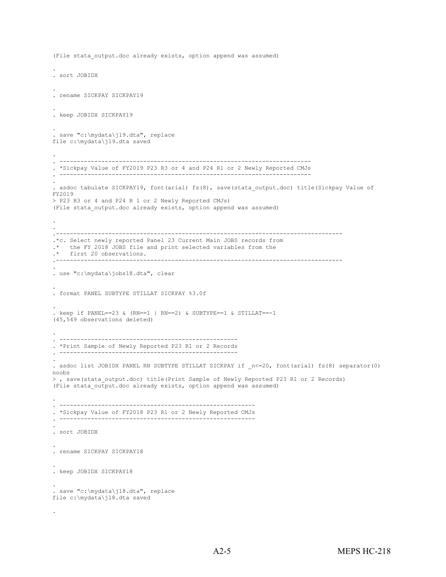```
(File stata output.doc already exists, option append was assumed)
. 
. sort JOBIDX
. 
. rename SICKPAY SICKPAY19
. 
. keep JOBIDX SICKPAY19
. 
. save "c:\mydata\j19.dta", replace 
file c:\mydata\j19.dta saved
. 
. ------------------------------------------------------------------------
. *Sickpay Value of FY2019 P23 R3 or 4 and P24 R1 or 2 Newly Reported CMJs
. ------------------------------------------------------------------------
. 
. asdoc tabulate SICKPAY19, font(arial) fs(8), save(stata output.doc) title(Sickpay Value of
FY2019 
> P23 R3 or 4 and P24 R 1 or 2 Newly Reported CMJs)
(File stata output.doc already exists, option append was assumed)
. 
. 
.----------------------------------------------------------------------------------
.*c. Select newly reported Panel 23 Current Main JOBS records from<br>* the FY 2018 JOBS file and print selected variables from the
.* the FY 2018 JOBS file and print selected variables from the 
.* first 20 observations. 
.----------------------------------------------------------------------------------
. 
. use "c:\mydata\jobs18.dta", clear
. 
. format PANEL SUBTYPE STILLAT SICKPAY %3.0f
. 
. keep if PANEL=-23 & (RN=-1 | RN=-2) & SUBTYPE=-1 & STILLAT=-1(45,549 observations deleted)
. 
. ---------------------------------------------------
. *Print Sample of Newly Reported P23 R1 or 2 Records
. ---------------------------------------------------
. 
. asdoc list JOBIDX PANEL RN SUBTYPE STILLAT SICKPAY if _n<=20, font(arial) fs(8) separator(0) 
noobs
>, save(stata output.doc) title(Print Sample of Newly Reported P23 R1 or 2 Records)
(File stata output.doc already exists, option append was assumed)
. 
. --------------------------------------------------------
. *Sickpay Value of FY2018 P23 R1 or 2 Newly Reported CMJs
. --------------------------------------------------------
. 
. sort JOBIDX
. 
. rename SICKPAY SICKPAY18
. 
. keep JOBIDX SICKPAY18
. 
. save "c:\mydata\j18.dta", replace 
file c:\mydata\j18.dta saved
```
.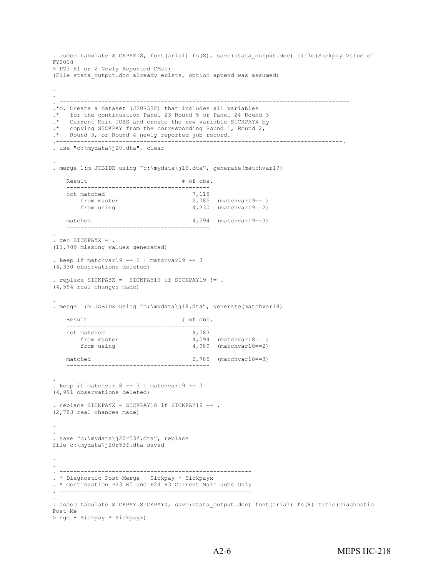```
. asdoc tabulate SICKPAY18, font(arial) fs(8), save(stata output.doc) title(Sickpay Value of
FY2018 
> P23 R1 or 2 Newly Reported CMJs)
(File stata output.doc already exists, option append was assumed)
. 
. 
. -----------------------------------------------------------------------------------
.*d. Create a dataset (J20R53F) that includes all variables
    for the continuation Panel 23 Round 5 or Panel 24 Round 3
.* Current Main JOBS and create the new variable SICKPAYX by
.* copying SICKPAY from the corresponding Round 1, Round 2,
.* Round 3, or Round 4 newly reported job record.
.----------------------------------------------------------------------------------. 
. use "c:\mydata\j20.dta", clear
. 
. merge 1:m JOBIDX using "c:\mydata\j19.dta", generate(matchvar19)
   Result # of obs. -----------------------------------------
   not matched<br>from master
        from master 2,785 (matchvar19==1)
        from using 4,330 (matchvar19==2)
   matched 4,594 (matchvar19==3)
          -----------------------------------------
. 
. gen SICKPAYX = . 
(11,709 missing values generated)
. keep if matchvar19 == 1 | matchvar19 == 3
(4,330 observations deleted)
. replace SICKPAYX = SICKPAY19 if SICKPAY19 != .
(4,594 real changes made)
. 
. merge 1:m JOBIDX using "c:\mydata\j18.dta", generate(matchvar18)
   Result # of obs.-----------------------------------------
   not matched<br>from master
       from master <br>from using the set of the 4,989 (matchvar18==2)
                                      4,989 (matchvar18==2)
   matched 2,785 (matchvar18==3)
         -----------------------------------------
. 
. keep if matchvar18 == 3 | matchvar19 == 3(4,991 observations deleted)
. replace SICKPAYX = SICKPAY18 if SICKPAY19 == .
(2,783 real changes made)
. 
. 
. save "c:\mydata\j20r53f.dta", replace 
file c:\mydata\j20r53f.dta saved
. 
. 
. -------------------------------------------------------
. * Diagnostic Post-Merge - Sickpay * Sickpayx
. * Continuation P23 R5 and P24 R3 Current Main Jobs Only
. -------------------------------------------------------
. 
. asdoc tabulate SICKPAY SICKPAYX, save(stata_output.doc) font(arial) fs(8) title(Diagnostic 
Post-Me
> rge - Sickpay * Sickpayx)
```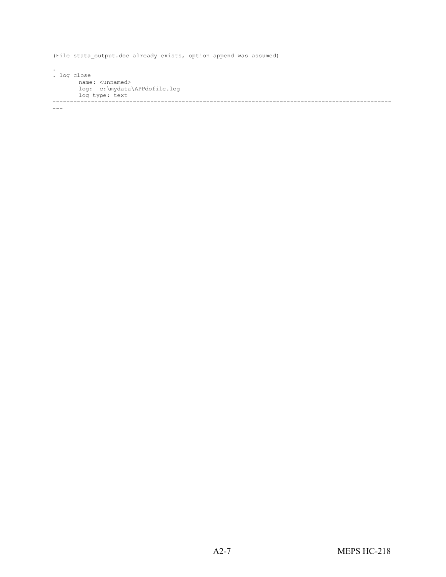(File stata output.doc already exists, option append was assumed)

. . log close name: <unnamed> log: c:\mydata\APPdofile.log log type: text -------------------------------------------------------------------------------------------------

---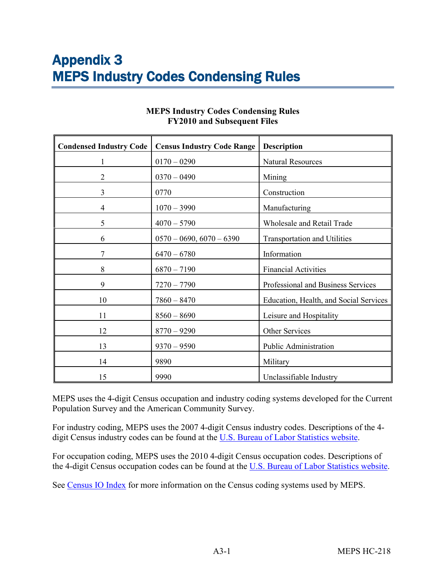<span id="page-60-0"></span>

| <b>Condensed Industry Code</b> | <b>Census Industry Code Range</b> | <b>Description</b>                     |
|--------------------------------|-----------------------------------|----------------------------------------|
|                                | $0170 - 0290$                     | <b>Natural Resources</b>               |
| 2                              | $0370 - 0490$                     | Mining                                 |
| 3                              | 0770                              | Construction                           |
| 4                              | $1070 - 3990$                     | Manufacturing                          |
| 5                              | $4070 - 5790$                     | Wholesale and Retail Trade             |
| 6                              | $0570 - 0690, 6070 - 6390$        | <b>Transportation and Utilities</b>    |
|                                | $6470 - 6780$                     | Information                            |
| 8                              | $6870 - 7190$                     | <b>Financial Activities</b>            |
| 9                              | $7270 - 7790$                     | Professional and Business Services     |
| 10                             | $7860 - 8470$                     | Education, Health, and Social Services |
| 11                             | $8560 - 8690$                     | Leisure and Hospitality                |
| 12                             | $8770 - 9290$                     | Other Services                         |
| 13                             | $9370 - 9590$                     | Public Administration                  |
| 14                             | 9890                              | Military                               |
| 15                             | 9990                              | Unclassifiable Industry                |

#### **MEPS Industry Codes Condensing Rules FY2010 and Subsequent Files**

MEPS uses the 4-digit Census occupation and industry coding systems developed for the Current Population Survey and the American Community Survey.

For industry coding, MEPS uses the 2007 4-digit Census industry codes. Descriptions of the 4 digit Census industry codes can be found at the [U.S. Bureau of Labor Statistics website.](https://www.bls.gov/tus/census07icodes.pdf)

For occupation coding, MEPS uses the 2010 4-digit Census occupation codes. Descriptions of the 4-digit Census occupation codes can be found at the [U.S. Bureau of Labor Statistics website](https://www.bls.gov/cps/cenocc2010.pdf).

See [Census IO Index](https://www.census.gov/topics/employment/industry-occupation/guidance/indexes.html) for more information on the Census coding systems used by MEPS.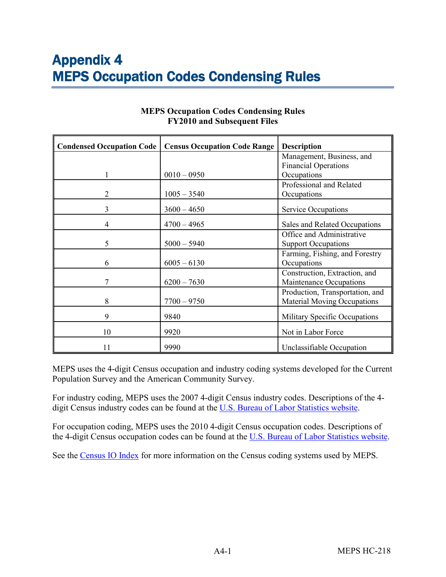<span id="page-61-0"></span>

| <b>Condensed Occupation Code</b> | <b>Census Occupation Code Range</b> | <b>Description</b>                 |
|----------------------------------|-------------------------------------|------------------------------------|
|                                  |                                     | Management, Business, and          |
|                                  |                                     | <b>Financial Operations</b>        |
|                                  | $0010 - 0950$                       | Occupations                        |
|                                  |                                     | Professional and Related           |
| 2                                | $1005 - 3540$                       | Occupations                        |
| 3                                | $3600 - 4650$                       | Service Occupations                |
| 4                                | $4700 - 4965$                       | Sales and Related Occupations      |
|                                  |                                     | Office and Administrative          |
| 5                                | $5000 - 5940$                       | <b>Support Occupations</b>         |
|                                  |                                     | Farming, Fishing, and Forestry     |
| 6                                | $6005 - 6130$                       | Occupations                        |
|                                  |                                     | Construction, Extraction, and      |
| 7                                | $6200 - 7630$                       | Maintenance Occupations            |
|                                  |                                     | Production, Transportation, and    |
| 8                                | $7700 - 9750$                       | <b>Material Moving Occupations</b> |
| 9                                | 9840                                | Military Specific Occupations      |
| 10                               | 9920                                | Not in Labor Force                 |
| 11                               | 9990                                | Unclassifiable Occupation          |

#### **MEPS Occupation Codes Condensing Rules FY2010 and Subsequent Files**

MEPS uses the 4-digit Census occupation and industry coding systems developed for the Current Population Survey and the American Community Survey.

For industry coding, MEPS uses the 2007 4-digit Census industry codes. Descriptions of the 4- digit Census industry codes can be found at the [U.S. Bureau of Labor Statistics website.](https://www.bls.gov/tus/census07icodes.pdf)

For occupation coding, MEPS uses the 2010 4-digit Census occupation codes. Descriptions of the 4-digit Census occupation codes can be found at the [U.S. Bureau of Labor Statistics website](https://www.bls.gov/cps/cenocc2010.pdf).

See the [Census IO Index](https://www.census.gov/topics/employment/industry-occupation/guidance/indexes.html) for more information on the Census coding systems used by MEPS.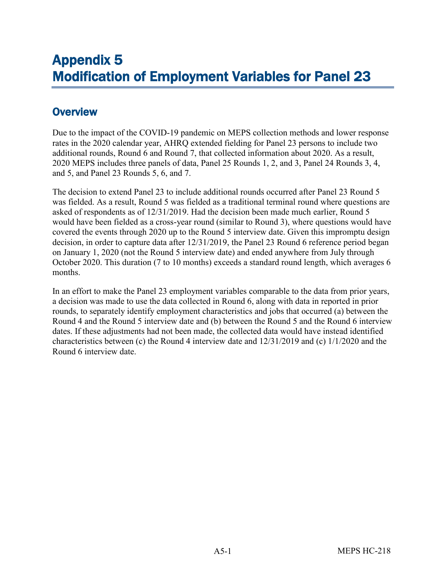# <span id="page-62-0"></span>Appendix 5 Modification of Employment Variables for Panel 23

# **Overview**

Due to the impact of the COVID-19 pandemic on MEPS collection methods and lower response rates in the 2020 calendar year, AHRQ extended fielding for Panel 23 persons to include two additional rounds, Round 6 and Round 7, that collected information about 2020. As a result, 2020 MEPS includes three panels of data, Panel 25 Rounds 1, 2, and 3, Panel 24 Rounds 3, 4, and 5, and Panel 23 Rounds 5, 6, and 7.

The decision to extend Panel 23 to include additional rounds occurred after Panel 23 Round 5 was fielded. As a result, Round 5 was fielded as a traditional terminal round where questions are asked of respondents as of 12/31/2019. Had the decision been made much earlier, Round 5 would have been fielded as a cross-year round (similar to Round 3), where questions would have covered the events through 2020 up to the Round 5 interview date. Given this impromptu design decision, in order to capture data after 12/31/2019, the Panel 23 Round 6 reference period began on January 1, 2020 (not the Round 5 interview date) and ended anywhere from July through October 2020. This duration (7 to 10 months) exceeds a standard round length, which averages 6 months.

In an effort to make the Panel 23 employment variables comparable to the data from prior years, a decision was made to use the data collected in Round 6, along with data in reported in prior rounds, to separately identify employment characteristics and jobs that occurred (a) between the Round 4 and the Round 5 interview date and (b) between the Round 5 and the Round 6 interview dates. If these adjustments had not been made, the collected data would have instead identified characteristics between (c) the Round 4 interview date and 12/31/2019 and (c) 1/1/2020 and the Round 6 interview date.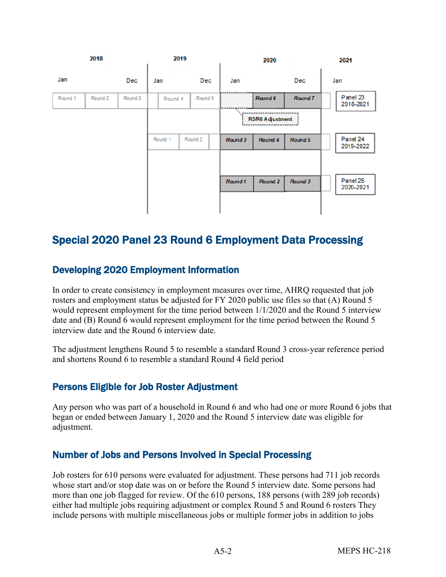

## Special 2020 Panel 23 Round 6 Employment Data Processing

## Developing 2020 Employment Information

In order to create consistency in employment measures over time, AHRQ requested that job rosters and employment status be adjusted for FY 2020 public use files so that (A) Round 5 would represent employment for the time period between 1/1/2020 and the Round 5 interview date and (B) Round 6 would represent employment for the time period between the Round 5 interview date and the Round 6 interview date.

The adjustment lengthens Round 5 to resemble a standard Round 3 cross-year reference period and shortens Round 6 to resemble a standard Round 4 field period

## Persons Eligible for Job Roster Adjustment

Any person who was part of a household in Round 6 and who had one or more Round 6 jobs that began or ended between January 1, 2020 and the Round 5 interview date was eligible for adjustment.

## Number of Jobs and Persons Involved in Special Processing

Job rosters for 610 persons were evaluated for adjustment. These persons had 711 job records whose start and/or stop date was on or before the Round 5 interview date. Some persons had more than one job flagged for review. Of the 610 persons, 188 persons (with 289 job records) either had multiple jobs requiring adjustment or complex Round 5 and Round 6 rosters They include persons with multiple miscellaneous jobs or multiple former jobs in addition to jobs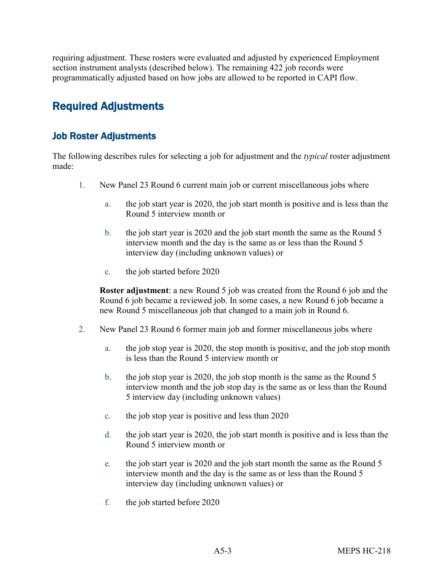requiring adjustment. These rosters were evaluated and adjusted by experienced Employment section instrument analysts (described below). The remaining 422 job records were programmatically adjusted based on how jobs are allowed to be reported in CAPI flow.

# Required Adjustments

## Job Roster Adjustments

The following describes rules for selecting a job for adjustment and the *typical* roster adjustment made:

- 1. New Panel 23 Round 6 current main job or current miscellaneous jobs where
	- a. the job start year is 2020, the job start month is positive and is less than the Round 5 interview month or
	- b. the job start year is 2020 and the job start month the same as the Round 5 interview month and the day is the same as or less than the Round 5 interview day (including unknown values) or
	- c. the job started before 2020

**Roster adjustment**: a new Round 5 job was created from the Round 6 job and the Round 6 job became a reviewed job. In some cases, a new Round 6 job became a new Round 5 miscellaneous job that changed to a main job in Round 6.

- 2. New Panel 23 Round 6 former main job and former miscellaneous jobs where
	- a. the job stop year is 2020, the stop month is positive, and the job stop month is less than the Round 5 interview month or
	- b. the job stop year is 2020, the job stop month is the same as the Round 5 interview month and the job stop day is the same as or less than the Round 5 interview day (including unknown values)
	- c. the job stop year is positive and less than 2020
	- d. the job start year is 2020, the job start month is positive and is less than the Round 5 interview month or
	- e. the job start year is 2020 and the job start month the same as the Round 5 interview month and the day is the same as or less than the Round 5 interview day (including unknown values) or
	- f. the job started before 2020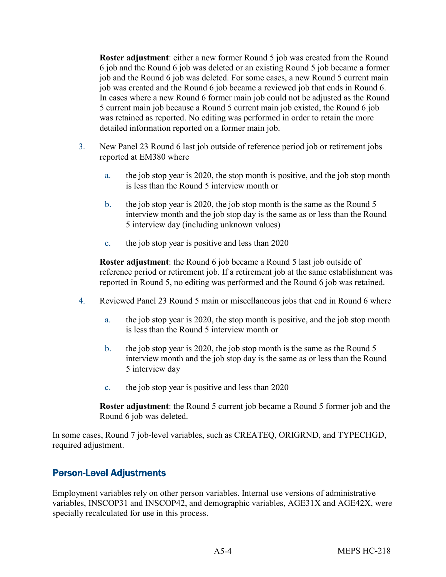**Roster adjustment**: either a new former Round 5 job was created from the Round 6 job and the Round 6 job was deleted or an existing Round 5 job became a former job and the Round 6 job was deleted. For some cases, a new Round 5 current main job was created and the Round 6 job became a reviewed job that ends in Round 6. In cases where a new Round 6 former main job could not be adjusted as the Round 5 current main job because a Round 5 current main job existed, the Round 6 job was retained as reported. No editing was performed in order to retain the more detailed information reported on a former main job.

- 3. New Panel 23 Round 6 last job outside of reference period job or retirement jobs reported at EM380 where
	- a. the job stop year is 2020, the stop month is positive, and the job stop month is less than the Round 5 interview month or
	- b. the job stop year is 2020, the job stop month is the same as the Round 5 interview month and the job stop day is the same as or less than the Round 5 interview day (including unknown values)
	- c. the job stop year is positive and less than 2020

**Roster adjustment**: the Round 6 job became a Round 5 last job outside of reference period or retirement job. If a retirement job at the same establishment was reported in Round 5, no editing was performed and the Round 6 job was retained.

- 4. Reviewed Panel 23 Round 5 main or miscellaneous jobs that end in Round 6 where
	- a. the job stop year is 2020, the stop month is positive, and the job stop month is less than the Round 5 interview month or
	- b. the job stop year is 2020, the job stop month is the same as the Round 5 interview month and the job stop day is the same as or less than the Round 5 interview day
	- c. the job stop year is positive and less than 2020

**Roster adjustment**: the Round 5 current job became a Round 5 former job and the Round 6 job was deleted.

In some cases, Round 7 job-level variables, such as CREATEQ, ORIGRND, and TYPECHGD, required adjustment.

## Person-Level Adjustments

Employment variables rely on other person variables. Internal use versions of administrative variables, INSCOP31 and INSCOP42, and demographic variables, AGE31X and AGE42X, were specially recalculated for use in this process.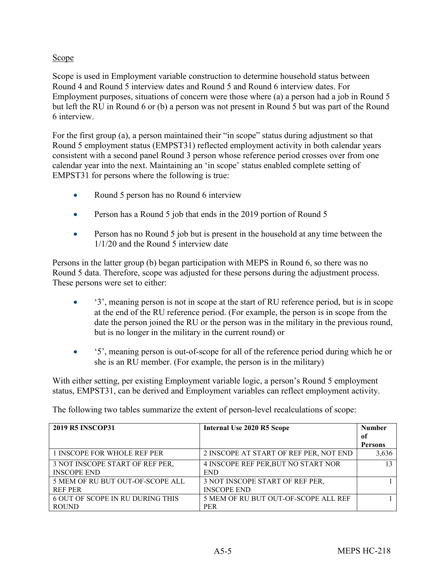#### **Scope**

Scope is used in Employment variable construction to determine household status between Round 4 and Round 5 interview dates and Round 5 and Round 6 interview dates. For Employment purposes, situations of concern were those where (a) a person had a job in Round 5 but left the RU in Round 6 or (b) a person was not present in Round 5 but was part of the Round 6 interview.

For the first group (a), a person maintained their "in scope" status during adjustment so that Round 5 employment status (EMPST31) reflected employment activity in both calendar years consistent with a second panel Round 3 person whose reference period crosses over from one calendar year into the next. Maintaining an 'in scope' status enabled complete setting of EMPST31 for persons where the following is true:

- Round 5 person has no Round 6 interview
- Person has a Round 5 job that ends in the 2019 portion of Round 5
- Person has no Round 5 job but is present in the household at any time between the 1/1/20 and the Round 5 interview date

Persons in the latter group (b) began participation with MEPS in Round 6, so there was no Round 5 data. Therefore, scope was adjusted for these persons during the adjustment process. These persons were set to either:

- '3', meaning person is not in scope at the start of RU reference period, but is in scope at the end of the RU reference period. (For example, the person is in scope from the date the person joined the RU or the person was in the military in the previous round, but is no longer in the military in the current round) or
- '5', meaning person is out-of-scope for all of the reference period during which he or she is an RU member. (For example, the person is in the military)

With either setting, per existing Employment variable logic, a person's Round 5 employment status, EMPST31, can be derived and Employment variables can reflect employment activity.

The following two tables summarize the extent of person-level recalculations of scope:

| <b>2019 R5 INSCOP31</b>                 | <b>Internal Use 2020 R5 Scope</b>      | <b>Number</b>  |
|-----------------------------------------|----------------------------------------|----------------|
|                                         |                                        | 0f             |
|                                         |                                        | <b>Persons</b> |
| 1 INSCOPE FOR WHOLE REF PER             | 2 INSCOPE AT START OF REF PER, NOT END | 3,636          |
| 3 NOT INSCOPE START OF REF PER,         | 4 INSCOPE REF PER, BUT NO START NOR    | 13             |
| <b>INSCOPE END</b>                      | <b>END</b>                             |                |
| 5 MEM OF RU BUT OUT-OF-SCOPE ALL        | 3 NOT INSCOPE START OF REF PER,        |                |
| <b>REF PER</b>                          | <b>INSCOPE END</b>                     |                |
| <b>6 OUT OF SCOPE IN RU DURING THIS</b> | 5 MEM OF RU BUT OUT-OF-SCOPE ALL REF   |                |
| <b>ROUND</b>                            | <b>PER</b>                             |                |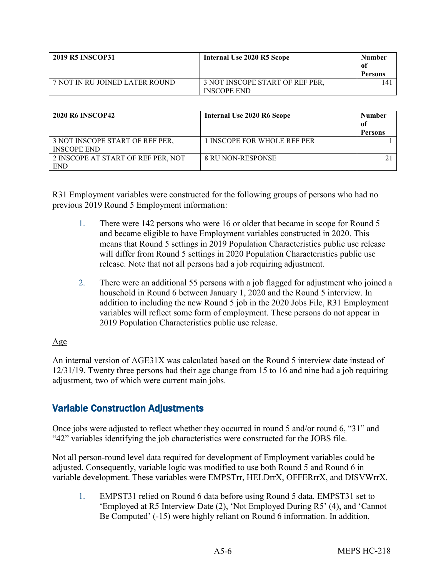| <b>2019 R5 INSCOP31</b>        | Internal Use 2020 R5 Scope                            | <b>Number</b><br>0f<br>Persons |
|--------------------------------|-------------------------------------------------------|--------------------------------|
| 7 NOT IN RU JOINED LATER ROUND | 3 NOT INSCOPE START OF REF PER,<br><b>INSCOPE END</b> | 14                             |

| <b>2020 R6 INSCOP42</b>            | Internal Use 2020 R6 Scope  | <b>Number</b><br>of<br><b>Persons</b> |
|------------------------------------|-----------------------------|---------------------------------------|
| 3 NOT INSCOPE START OF REF PER,    | 1 INSCOPE FOR WHOLE REF PER |                                       |
| <b>INSCOPE END</b>                 |                             |                                       |
| 2 INSCOPE AT START OF REF PER, NOT | <b>8 RU NON-RESPONSE</b>    |                                       |
| <b>END</b>                         |                             |                                       |

R31 Employment variables were constructed for the following groups of persons who had no previous 2019 Round 5 Employment information:

- 1. There were 142 persons who were 16 or older that became in scope for Round 5 and became eligible to have Employment variables constructed in 2020. This means that Round 5 settings in 2019 Population Characteristics public use release will differ from Round 5 settings in 2020 Population Characteristics public use release. Note that not all persons had a job requiring adjustment.
- 2. There were an additional 55 persons with a job flagged for adjustment who joined a household in Round 6 between January 1, 2020 and the Round 5 interview. In addition to including the new Round 5 job in the 2020 Jobs File, R31 Employment variables will reflect some form of employment. These persons do not appear in 2019 Population Characteristics public use release.

#### Age

An internal version of AGE31X was calculated based on the Round 5 interview date instead of 12/31/19. Twenty three persons had their age change from 15 to 16 and nine had a job requiring adjustment, two of which were current main jobs.

## Variable Construction Adjustments

Once jobs were adjusted to reflect whether they occurred in round 5 and/or round 6, "31" and "42" variables identifying the job characteristics were constructed for the JOBS file.

Not all person-round level data required for development of Employment variables could be adjusted. Consequently, variable logic was modified to use both Round 5 and Round 6 in variable development. These variables were EMPSTrr, HELDrrX, OFFERrrX, and DISVWrrX.

1. EMPST31 relied on Round 6 data before using Round 5 data. EMPST31 set to 'Employed at R5 Interview Date (2), 'Not Employed During R5' (4), and 'Cannot Be Computed' (-15) were highly reliant on Round 6 information. In addition,